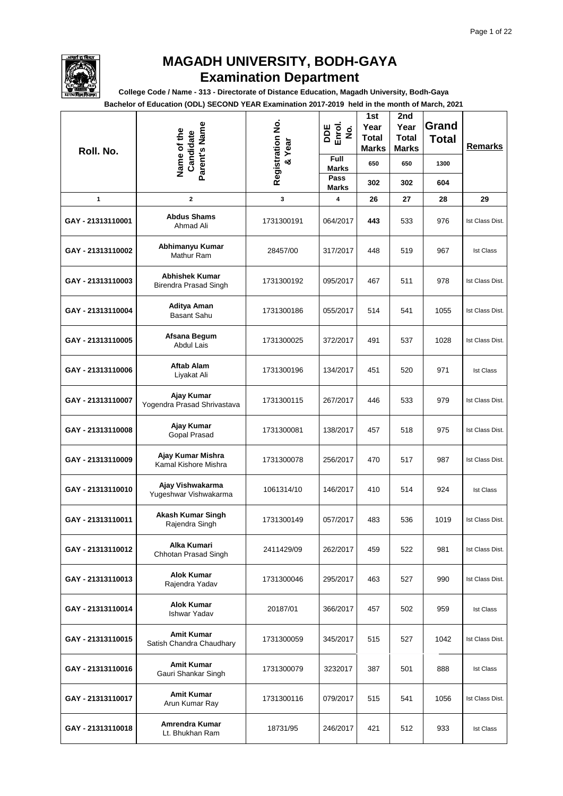

**College Code / Name - 313 - Directorate of Distance Education, Magadh University, Bodh-Gaya**

| Roll. No.         | Parent's Name<br>Name of the<br>Candidate      | Registration No.<br>& Year | DDE<br>Enrol.<br>$\dot{\mathbf{g}}$<br>Full | 1st<br>Year<br><b>Total</b><br>Marks | 2nd<br>Year<br><b>Total</b><br>Marks | Grand<br><b>Total</b> | <b>Remarks</b>   |
|-------------------|------------------------------------------------|----------------------------|---------------------------------------------|--------------------------------------|--------------------------------------|-----------------------|------------------|
|                   |                                                |                            | <b>Marks</b><br>Pass                        | 650                                  | 650                                  | 1300                  |                  |
|                   |                                                |                            | <b>Marks</b>                                | 302                                  | 302                                  | 604                   |                  |
| 1                 | $\mathbf{2}$                                   | 3                          | 4                                           | 26                                   | 27                                   | 28                    | 29               |
| GAY - 21313110001 | <b>Abdus Shams</b><br>Ahmad Ali                | 1731300191                 | 064/2017                                    | 443                                  | 533                                  | 976                   | Ist Class Dist.  |
| GAY - 21313110002 | Abhimanyu Kumar<br>Mathur Ram                  | 28457/00                   | 317/2017                                    | 448                                  | 519                                  | 967                   | <b>Ist Class</b> |
| GAY - 21313110003 | <b>Abhishek Kumar</b><br>Birendra Prasad Singh | 1731300192                 | 095/2017                                    | 467                                  | 511                                  | 978                   | Ist Class Dist.  |
| GAY - 21313110004 | Aditya Aman<br>Basant Sahu                     | 1731300186                 | 055/2017                                    | 514                                  | 541                                  | 1055                  | Ist Class Dist.  |
| GAY - 21313110005 | Afsana Begum<br><b>Abdul Lais</b>              | 1731300025                 | 372/2017                                    | 491                                  | 537                                  | 1028                  | Ist Class Dist.  |
| GAY - 21313110006 | <b>Aftab Alam</b><br>Liyakat Ali               | 1731300196                 | 134/2017                                    | 451                                  | 520                                  | 971                   | <b>Ist Class</b> |
| GAY - 21313110007 | Ajay Kumar<br>Yogendra Prasad Shrivastava      | 1731300115                 | 267/2017                                    | 446                                  | 533                                  | 979                   | Ist Class Dist.  |
| GAY - 21313110008 | Ajay Kumar<br>Gopal Prasad                     | 1731300081                 | 138/2017                                    | 457                                  | 518                                  | 975                   | Ist Class Dist.  |
| GAY - 21313110009 | Ajay Kumar Mishra<br>Kamal Kishore Mishra      | 1731300078                 | 256/2017                                    | 470                                  | 517                                  | 987                   | Ist Class Dist.  |
| GAY - 21313110010 | Ajay Vishwakarma<br>Yugeshwar Vishwakarma      | 1061314/10                 | 146/2017                                    | 410                                  | 514                                  | 924                   | <b>Ist Class</b> |
| GAY - 21313110011 | Akash Kumar Singh<br>Rajendra Singh            | 1731300149                 | 057/2017                                    | 483                                  | 536                                  | 1019                  | Ist Class Dist.  |
| GAY - 21313110012 | Alka Kumari<br>Chhotan Prasad Singh            | 2411429/09                 | 262/2017                                    | 459                                  | 522                                  | 981                   | Ist Class Dist.  |
| GAY - 21313110013 | <b>Alok Kumar</b><br>Rajendra Yadav            | 1731300046                 | 295/2017                                    | 463                                  | 527                                  | 990                   | Ist Class Dist.  |
| GAY - 21313110014 | <b>Alok Kumar</b><br><b>Ishwar Yadav</b>       | 20187/01                   | 366/2017                                    | 457                                  | 502                                  | 959                   | <b>Ist Class</b> |
| GAY - 21313110015 | <b>Amit Kumar</b><br>Satish Chandra Chaudhary  | 1731300059                 | 345/2017                                    | 515                                  | 527                                  | 1042                  | Ist Class Dist.  |
| GAY - 21313110016 | <b>Amit Kumar</b><br>Gauri Shankar Singh       | 1731300079                 | 3232017                                     | 387                                  | 501                                  | 888                   | <b>Ist Class</b> |
| GAY - 21313110017 | <b>Amit Kumar</b><br>Arun Kumar Ray            | 1731300116                 | 079/2017                                    | 515                                  | 541                                  | 1056                  | Ist Class Dist.  |
| GAY - 21313110018 | Amrendra Kumar<br>Lt. Bhukhan Ram              | 18731/95                   | 246/2017                                    | 421                                  | 512                                  | 933                   | <b>Ist Class</b> |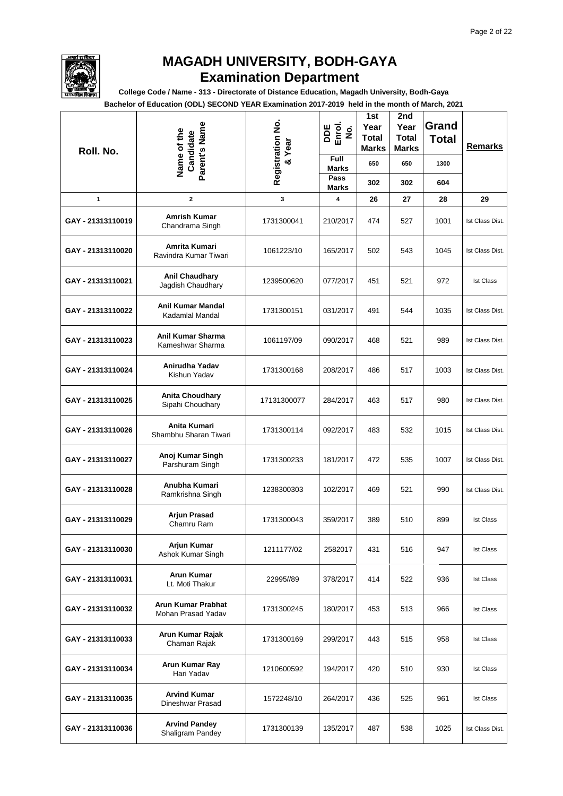

**College Code / Name - 313 - Directorate of Distance Education, Magadh University, Bodh-Gaya**

| Roll. No.         | Parent's Name<br>Name of the<br>Candidate       | Registration No.<br>Year<br>$\infty$ | DDE<br>Enrol.<br>$\dot{\mathbf{z}}$<br><b>Full</b> | 1st<br>Year<br><b>Total</b><br><b>Marks</b> | 2nd<br>Year<br><b>Total</b><br>Marks | Grand<br><b>Total</b> | <b>Remarks</b>   |
|-------------------|-------------------------------------------------|--------------------------------------|----------------------------------------------------|---------------------------------------------|--------------------------------------|-----------------------|------------------|
|                   |                                                 |                                      | <b>Marks</b><br>Pass                               | 650                                         | 650                                  | 1300                  |                  |
|                   |                                                 |                                      | <b>Marks</b>                                       | 302                                         | 302                                  | 604                   |                  |
| 1                 | $\mathbf{2}$                                    | 3                                    | 4                                                  | 26                                          | 27                                   | 28                    | 29               |
| GAY - 21313110019 | <b>Amrish Kumar</b><br>Chandrama Singh          | 1731300041                           | 210/2017                                           | 474                                         | 527                                  | 1001                  | Ist Class Dist.  |
| GAY - 21313110020 | Amrita Kumari<br>Ravindra Kumar Tiwari          | 1061223/10                           | 165/2017                                           | 502                                         | 543                                  | 1045                  | Ist Class Dist.  |
| GAY - 21313110021 | <b>Anil Chaudhary</b><br>Jagdish Chaudhary      | 1239500620                           | 077/2017                                           | 451                                         | 521                                  | 972                   | <b>Ist Class</b> |
| GAY - 21313110022 | Anil Kumar Mandal<br>Kadamlal Mandal            | 1731300151                           | 031/2017                                           | 491                                         | 544                                  | 1035                  | Ist Class Dist.  |
| GAY - 21313110023 | Anil Kumar Sharma<br>Kameshwar Sharma           | 1061197/09                           | 090/2017                                           | 468                                         | 521                                  | 989                   | Ist Class Dist.  |
| GAY - 21313110024 | Anirudha Yadav<br>Kishun Yadav                  | 1731300168                           | 208/2017                                           | 486                                         | 517                                  | 1003                  | Ist Class Dist.  |
| GAY - 21313110025 | <b>Anita Choudhary</b><br>Sipahi Choudhary      | 17131300077                          | 284/2017                                           | 463                                         | 517                                  | 980                   | Ist Class Dist.  |
| GAY - 21313110026 | Anita Kumari<br>Shambhu Sharan Tiwari           | 1731300114                           | 092/2017                                           | 483                                         | 532                                  | 1015                  | Ist Class Dist.  |
| GAY - 21313110027 | Anoj Kumar Singh<br>Parshuram Singh             | 1731300233                           | 181/2017                                           | 472                                         | 535                                  | 1007                  | Ist Class Dist.  |
| GAY - 21313110028 | Anubha Kumari<br>Ramkrishna Singh               | 1238300303                           | 102/2017                                           | 469                                         | 521                                  | 990                   | Ist Class Dist.  |
| GAY - 21313110029 | <b>Arjun Prasad</b><br>Chamru Ram               | 1731300043                           | 359/2017                                           | 389                                         | 510                                  | 899                   | <b>Ist Class</b> |
| GAY - 21313110030 | <b>Arjun Kumar</b><br>Ashok Kumar Singh         | 1211177/02                           | 2582017                                            | 431                                         | 516                                  | 947                   | <b>Ist Class</b> |
| GAY - 21313110031 | <b>Arun Kumar</b><br>Lt. Moti Thakur            | 22995//89                            | 378/2017                                           | 414                                         | 522                                  | 936                   | <b>Ist Class</b> |
| GAY - 21313110032 | <b>Arun Kumar Prabhat</b><br>Mohan Prasad Yadav | 1731300245                           | 180/2017                                           | 453                                         | 513                                  | 966                   | <b>Ist Class</b> |
| GAY - 21313110033 | Arun Kumar Rajak<br>Chaman Rajak                | 1731300169                           | 299/2017                                           | 443                                         | 515                                  | 958                   | <b>Ist Class</b> |
| GAY - 21313110034 | Arun Kumar Ray<br>Hari Yadav                    | 1210600592                           | 194/2017                                           | 420                                         | 510                                  | 930                   | <b>Ist Class</b> |
| GAY - 21313110035 | <b>Arvind Kumar</b><br>Dineshwar Prasad         | 1572248/10                           | 264/2017                                           | 436                                         | 525                                  | 961                   | <b>Ist Class</b> |
| GAY - 21313110036 | <b>Arvind Pandey</b><br>Shaligram Pandey        | 1731300139                           | 135/2017                                           | 487                                         | 538                                  | 1025                  | Ist Class Dist.  |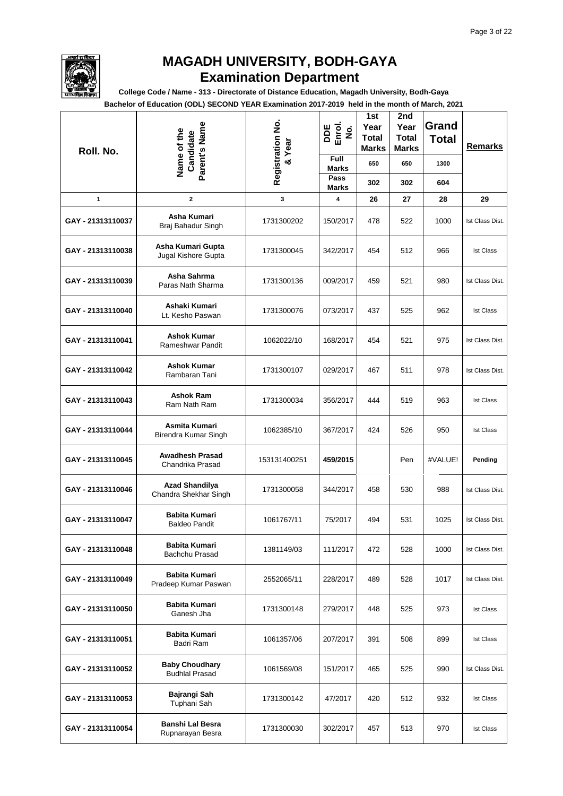

**College Code / Name - 313 - Directorate of Distance Education, Magadh University, Bodh-Gaya**

| Roll. No.         | Parent's Name<br>Name of the<br>Candidate      | Registration No.<br>& Year | DDE<br>Enrol.<br>$\dot{\mathbf{g}}$ | 1st<br>Year<br><b>Total</b><br><b>Marks</b> | 2nd<br>Year<br><b>Total</b><br><b>Marks</b> | Grand<br><b>Total</b> | <b>Remarks</b>   |
|-------------------|------------------------------------------------|----------------------------|-------------------------------------|---------------------------------------------|---------------------------------------------|-----------------------|------------------|
|                   |                                                |                            | Full<br><b>Marks</b>                | 650                                         | 650                                         | 1300                  |                  |
|                   |                                                |                            | Pass<br><b>Marks</b>                | 302                                         | 302                                         | 604                   |                  |
| 1                 | 2                                              | 3                          | 4                                   | 26                                          | 27                                          | 28                    | 29               |
| GAY - 21313110037 | Asha Kumari<br>Braj Bahadur Singh              | 1731300202                 | 150/2017                            | 478                                         | 522                                         | 1000                  | Ist Class Dist.  |
| GAY - 21313110038 | Asha Kumari Gupta<br>Jugal Kishore Gupta       | 1731300045                 | 342/2017                            | 454                                         | 512                                         | 966                   | <b>Ist Class</b> |
| GAY - 21313110039 | Asha Sahrma<br>Paras Nath Sharma               | 1731300136                 | 009/2017                            | 459                                         | 521                                         | 980                   | Ist Class Dist.  |
| GAY - 21313110040 | Ashaki Kumari<br>Lt. Kesho Paswan              | 1731300076                 | 073/2017                            | 437                                         | 525                                         | 962                   | <b>Ist Class</b> |
| GAY - 21313110041 | <b>Ashok Kumar</b><br>Rameshwar Pandit         | 1062022/10                 | 168/2017                            | 454                                         | 521                                         | 975                   | Ist Class Dist.  |
| GAY - 21313110042 | <b>Ashok Kumar</b><br>Rambaran Tani            | 1731300107                 | 029/2017                            | 467                                         | 511                                         | 978                   | Ist Class Dist.  |
| GAY - 21313110043 | <b>Ashok Ram</b><br>Ram Nath Ram               | 1731300034                 | 356/2017                            | 444                                         | 519                                         | 963                   | <b>Ist Class</b> |
| GAY - 21313110044 | Asmita Kumari<br>Birendra Kumar Singh          | 1062385/10                 | 367/2017                            | 424                                         | 526                                         | 950                   | <b>Ist Class</b> |
| GAY - 21313110045 | <b>Awadhesh Prasad</b><br>Chandrika Prasad     | 153131400251               | 459/2015                            |                                             | Pen                                         | #VALUE!               | Pending          |
| GAY - 21313110046 | <b>Azad Shandilya</b><br>Chandra Shekhar Singh | 1731300058                 | 344/2017                            | 458                                         | 530                                         | 988                   | Ist Class Dist.  |
| GAY - 21313110047 | <b>Babita Kumari</b><br><b>Baldeo Pandit</b>   | 1061767/11                 | 75/2017                             | 494                                         | 531                                         | 1025                  | Ist Class Dist.  |
| GAY - 21313110048 | <b>Babita Kumari</b><br>Bachchu Prasad         | 1381149/03                 | 111/2017                            | 472                                         | 528                                         | 1000                  | Ist Class Dist.  |
| GAY - 21313110049 | <b>Babita Kumari</b><br>Pradeep Kumar Paswan   | 2552065/11                 | 228/2017                            | 489                                         | 528                                         | 1017                  | Ist Class Dist.  |
| GAY - 21313110050 | <b>Babita Kumari</b><br>Ganesh Jha             | 1731300148                 | 279/2017                            | 448                                         | 525                                         | 973                   | <b>Ist Class</b> |
| GAY - 21313110051 | <b>Babita Kumari</b><br>Badri Ram              | 1061357/06                 | 207/2017                            | 391                                         | 508                                         | 899                   | <b>Ist Class</b> |
| GAY - 21313110052 | <b>Baby Choudhary</b><br><b>Budhlal Prasad</b> | 1061569/08                 | 151/2017                            | 465                                         | 525                                         | 990                   | Ist Class Dist.  |
| GAY - 21313110053 | Bajrangi Sah<br>Tuphani Sah                    | 1731300142                 | 47/2017                             | 420                                         | 512                                         | 932                   | <b>Ist Class</b> |
| GAY - 21313110054 | <b>Banshi Lal Besra</b><br>Rupnarayan Besra    | 1731300030                 | 302/2017                            | 457                                         | 513                                         | 970                   | <b>Ist Class</b> |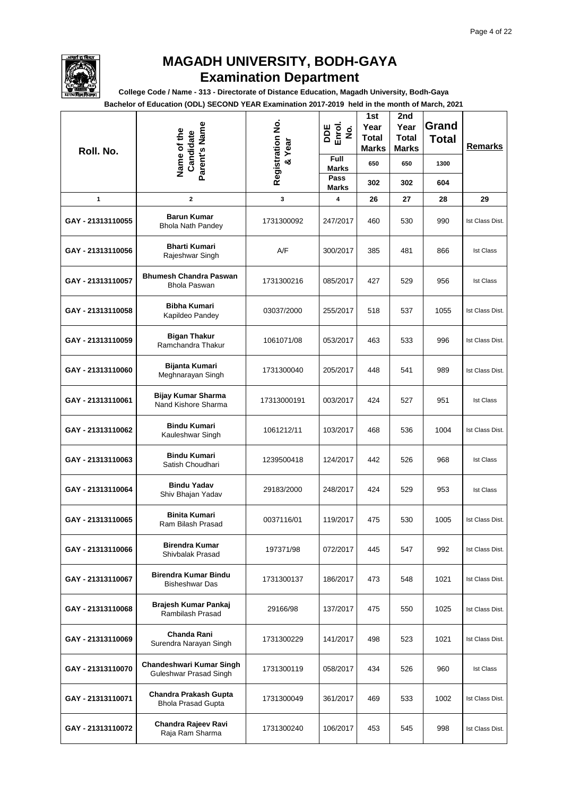

**College Code / Name - 313 - Directorate of Distance Education, Magadh University, Bodh-Gaya**

| Roll. No.         | Parent's Name<br>Name of the<br>Candidate                 | Registration No.<br>& Year | DDE<br>Enrol.<br>$\dot{\mathbf{g}}$ | 1st<br>Year<br>Total<br>Marks | 2nd<br>Year<br><b>Total</b><br><b>Marks</b> | Grand<br><b>Total</b> | <b>Remarks</b>   |
|-------------------|-----------------------------------------------------------|----------------------------|-------------------------------------|-------------------------------|---------------------------------------------|-----------------------|------------------|
|                   |                                                           |                            | Full<br><b>Marks</b><br>Pass        | 650                           | 650                                         | 1300                  |                  |
|                   |                                                           |                            | <b>Marks</b>                        | 302                           | 302                                         | 604                   |                  |
| 1                 | $\mathbf{2}$                                              | 3                          | 4                                   | 26                            | 27                                          | 28                    | 29               |
| GAY - 21313110055 | <b>Barun Kumar</b><br><b>Bhola Nath Pandey</b>            | 1731300092                 | 247/2017                            | 460                           | 530                                         | 990                   | Ist Class Dist.  |
| GAY - 21313110056 | <b>Bharti Kumari</b><br>Rajeshwar Singh                   | A/F                        | 300/2017                            | 385                           | 481                                         | 866                   | <b>Ist Class</b> |
| GAY - 21313110057 | <b>Bhumesh Chandra Paswan</b><br><b>Bhola Paswan</b>      | 1731300216                 | 085/2017                            | 427                           | 529                                         | 956                   | <b>Ist Class</b> |
| GAY - 21313110058 | <b>Bibha Kumari</b><br>Kapildeo Pandey                    | 03037/2000                 | 255/2017                            | 518                           | 537                                         | 1055                  | Ist Class Dist.  |
| GAY - 21313110059 | <b>Bigan Thakur</b><br>Ramchandra Thakur                  | 1061071/08                 | 053/2017                            | 463                           | 533                                         | 996                   | Ist Class Dist.  |
| GAY - 21313110060 | Bijanta Kumari<br>Meghnarayan Singh                       | 1731300040                 | 205/2017                            | 448                           | 541                                         | 989                   | Ist Class Dist.  |
| GAY - 21313110061 | <b>Bijay Kumar Sharma</b><br>Nand Kishore Sharma          | 17313000191                | 003/2017                            | 424                           | 527                                         | 951                   | <b>Ist Class</b> |
| GAY - 21313110062 | <b>Bindu Kumari</b><br>Kauleshwar Singh                   | 1061212/11                 | 103/2017                            | 468                           | 536                                         | 1004                  | Ist Class Dist.  |
| GAY - 21313110063 | <b>Bindu Kumari</b><br>Satish Choudhari                   | 1239500418                 | 124/2017                            | 442                           | 526                                         | 968                   | <b>Ist Class</b> |
| GAY - 21313110064 | <b>Bindu Yadav</b><br>Shiv Bhajan Yadav                   | 29183/2000                 | 248/2017                            | 424                           | 529                                         | 953                   | <b>Ist Class</b> |
| GAY - 21313110065 | Binita Kumari<br>Ram Bilash Prasad                        | 0037116/01                 | 119/2017                            | 475                           | 530                                         | 1005                  | Ist Class Dist.  |
| GAY - 21313110066 | <b>Birendra Kumar</b><br>Shivbalak Prasad                 | 197371/98                  | 072/2017                            | 445                           | 547                                         | 992                   | Ist Class Dist.  |
| GAY - 21313110067 | <b>Birendra Kumar Bindu</b><br><b>Bisheshwar Das</b>      | 1731300137                 | 186/2017                            | 473                           | 548                                         | 1021                  | Ist Class Dist.  |
| GAY - 21313110068 | Brajesh Kumar Pankaj<br>Rambilash Prasad                  | 29166/98                   | 137/2017                            | 475                           | 550                                         | 1025                  | Ist Class Dist.  |
| GAY - 21313110069 | Chanda Rani<br>Surendra Narayan Singh                     | 1731300229                 | 141/2017                            | 498                           | 523                                         | 1021                  | Ist Class Dist.  |
| GAY - 21313110070 | Chandeshwari Kumar Singh<br>Guleshwar Prasad Singh        | 1731300119                 | 058/2017                            | 434                           | 526                                         | 960                   | <b>Ist Class</b> |
| GAY - 21313110071 | <b>Chandra Prakash Gupta</b><br><b>Bhola Prasad Gupta</b> | 1731300049                 | 361/2017                            | 469                           | 533                                         | 1002                  | Ist Class Dist.  |
| GAY - 21313110072 | Chandra Rajeev Ravi<br>Raja Ram Sharma                    | 1731300240                 | 106/2017                            | 453                           | 545                                         | 998                   | Ist Class Dist.  |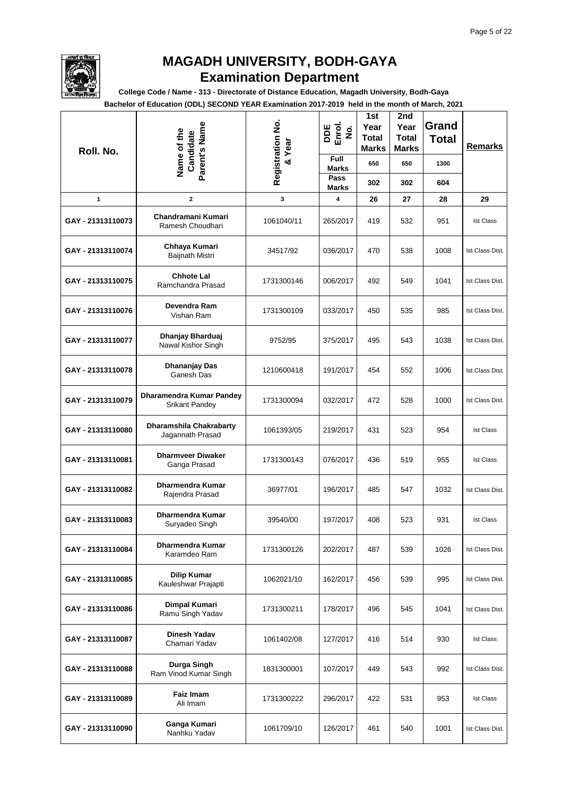

**College Code / Name - 313 - Directorate of Distance Education, Magadh University, Bodh-Gaya**

| Roll. No.         | Parent's Name<br>Name of the<br>Candidate         | Registration No.<br>& Year | DDE<br>Enrol.<br>$\dot{\mathbf{g}}$ | 1st<br>Year<br>Total<br>Marks | 2nd<br>Year<br><b>Total</b><br><b>Marks</b> | Grand<br><b>Total</b> | <b>Remarks</b>   |
|-------------------|---------------------------------------------------|----------------------------|-------------------------------------|-------------------------------|---------------------------------------------|-----------------------|------------------|
|                   |                                                   |                            | Full<br><b>Marks</b>                | 650                           | 650                                         | 1300                  |                  |
|                   |                                                   |                            | Pass<br><b>Marks</b>                | 302                           | 302                                         | 604                   |                  |
| 1                 | $\mathbf{2}$                                      | 3                          | 4                                   | 26                            | 27                                          | 28                    | 29               |
| GAY - 21313110073 | Chandramani Kumari<br>Ramesh Choudhari            | 1061040/11                 | 265/2017                            | 419                           | 532                                         | 951                   | <b>Ist Class</b> |
| GAY - 21313110074 | Chhaya Kumari<br>Baijnath Mistri                  | 34517/92                   | 036/2017                            | 470                           | 538                                         | 1008                  | Ist Class Dist.  |
| GAY - 21313110075 | <b>Chhote Lal</b><br>Ramchandra Prasad            | 1731300146                 | 006/2017                            | 492                           | 549                                         | 1041                  | Ist Class Dist.  |
| GAY - 21313110076 | Devendra Ram<br>Vishan Ram                        | 1731300109                 | 033/2017                            | 450                           | 535                                         | 985                   | Ist Class Dist.  |
| GAY - 21313110077 | Dhanjay Bharduaj<br>Nawal Kishor Singh            | 9752/95                    | 375/2017                            | 495                           | 543                                         | 1038                  | Ist Class Dist.  |
| GAY - 21313110078 | Dhananjay Das<br>Ganesh Das                       | 1210600418                 | 191/2017                            | 454                           | 552                                         | 1006                  | Ist Class Dist.  |
| GAY - 21313110079 | Dharamendra Kumar Pandey<br><b>Srikant Pandey</b> | 1731300094                 | 032/2017                            | 472                           | 528                                         | 1000                  | Ist Class Dist.  |
| GAY - 21313110080 | Dharamshila Chakrabarty<br>Jagannath Prasad       | 1061393/05                 | 219/2017                            | 431                           | 523                                         | 954                   | <b>Ist Class</b> |
| GAY - 21313110081 | <b>Dharmveer Diwaker</b><br>Ganga Prasad          | 1731300143                 | 076/2017                            | 436                           | 519                                         | 955                   | <b>Ist Class</b> |
| GAY - 21313110082 | Dharmendra Kumar<br>Rajendra Prasad               | 36977/01                   | 196/2017                            | 485                           | 547                                         | 1032                  | Ist Class Dist.  |
| GAY - 21313110083 | <b>Dharmendra Kumar</b><br>Suryadeo Singh         | 39540/00                   | 197/2017                            | 408                           | 523                                         | 931                   | <b>Ist Class</b> |
| GAY - 21313110084 | Dharmendra Kumar<br>Karamdeo Ram                  | 1731300126                 | 202/2017                            | 487                           | 539                                         | 1026                  | Ist Class Dist.  |
| GAY - 21313110085 | <b>Dilip Kumar</b><br>Kauleshwar Prajapti         | 1062021/10                 | 162/2017                            | 456                           | 539                                         | 995                   | Ist Class Dist.  |
| GAY - 21313110086 | <b>Dimpal Kumari</b><br>Ramu Singh Yadav          | 1731300211                 | 178/2017                            | 496                           | 545                                         | 1041                  | Ist Class Dist.  |
| GAY - 21313110087 | <b>Dinesh Yadav</b><br>Chamari Yadav              | 1061402/08                 | 127/2017                            | 416                           | 514                                         | 930                   | <b>Ist Class</b> |
| GAY - 21313110088 | Durga Singh<br>Ram Vinod Kumar Singh              | 1831300001                 | 107/2017                            | 449                           | 543                                         | 992                   | Ist Class Dist.  |
| GAY - 21313110089 | Faiz Imam<br>Ali Imam                             | 1731300222                 | 296/2017                            | 422                           | 531                                         | 953                   | <b>Ist Class</b> |
| GAY - 21313110090 | Ganga Kumari<br>Nanhku Yadav                      | 1061709/10                 | 126/2017                            | 461                           | 540                                         | 1001                  | Ist Class Dist.  |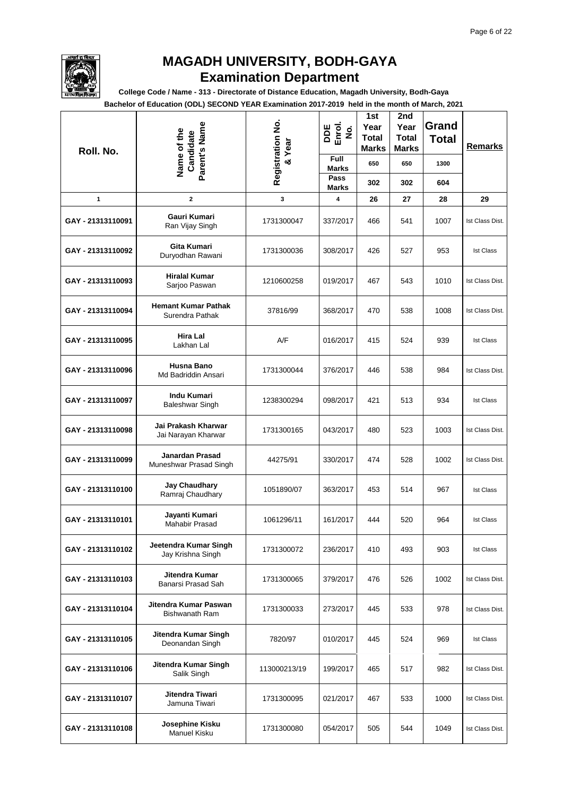

**College Code / Name - 313 - Directorate of Distance Education, Magadh University, Bodh-Gaya**

| Roll. No.         | Parent's Name<br>Name of the<br>Candidate      | Registration No.<br>& Year | DDE<br>Enrol.<br>$\dot{\mathbf{g}}$<br>Full | 1st<br>Year<br><b>Total</b><br>Marks | 2nd<br>Year<br><b>Total</b><br><b>Marks</b> | Grand<br><b>Total</b> | <b>Remarks</b>   |
|-------------------|------------------------------------------------|----------------------------|---------------------------------------------|--------------------------------------|---------------------------------------------|-----------------------|------------------|
|                   |                                                |                            | <b>Marks</b><br>Pass                        | 650                                  | 650                                         | 1300                  |                  |
|                   |                                                |                            | <b>Marks</b>                                | 302                                  | 302                                         | 604                   |                  |
| 1                 | $\mathbf{2}$                                   | 3                          | 4                                           | 26                                   | 27                                          | 28                    | 29               |
| GAY - 21313110091 | Gauri Kumari<br>Ran Vijay Singh                | 1731300047                 | 337/2017                                    | 466                                  | 541                                         | 1007                  | Ist Class Dist.  |
| GAY - 21313110092 | Gita Kumari<br>Duryodhan Rawani                | 1731300036                 | 308/2017                                    | 426                                  | 527                                         | 953                   | <b>Ist Class</b> |
| GAY - 21313110093 | <b>Hiralal Kumar</b><br>Sarjoo Paswan          | 1210600258                 | 019/2017                                    | 467                                  | 543                                         | 1010                  | Ist Class Dist.  |
| GAY - 21313110094 | <b>Hemant Kumar Pathak</b><br>Surendra Pathak  | 37816/99                   | 368/2017                                    | 470                                  | 538                                         | 1008                  | Ist Class Dist.  |
| GAY - 21313110095 | Hira Lal<br>Lakhan Lal                         | A/F                        | 016/2017                                    | 415                                  | 524                                         | 939                   | <b>Ist Class</b> |
| GAY - 21313110096 | Husna Bano<br>Md Badriddin Ansari              | 1731300044                 | 376/2017                                    | 446                                  | 538                                         | 984                   | Ist Class Dist.  |
| GAY - 21313110097 | <b>Indu Kumari</b><br><b>Baleshwar Singh</b>   | 1238300294                 | 098/2017                                    | 421                                  | 513                                         | 934                   | <b>Ist Class</b> |
| GAY - 21313110098 | Jai Prakash Kharwar<br>Jai Narayan Kharwar     | 1731300165                 | 043/2017                                    | 480                                  | 523                                         | 1003                  | Ist Class Dist.  |
| GAY - 21313110099 | Janardan Prasad<br>Muneshwar Prasad Singh      | 44275/91                   | 330/2017                                    | 474                                  | 528                                         | 1002                  | Ist Class Dist.  |
| GAY - 21313110100 | <b>Jay Chaudhary</b><br>Ramraj Chaudhary       | 1051890/07                 | 363/2017                                    | 453                                  | 514                                         | 967                   | <b>Ist Class</b> |
| GAY - 21313110101 | Jayanti Kumari<br><b>Mahabir Prasad</b>        | 1061296/11                 | 161/2017                                    | 444                                  | 520                                         | 964                   | <b>Ist Class</b> |
| GAY - 21313110102 | Jeetendra Kumar Singh<br>Jay Krishna Singh     | 1731300072                 | 236/2017                                    | 410                                  | 493                                         | 903                   | <b>Ist Class</b> |
| GAY - 21313110103 | Jitendra Kumar<br>Banarsi Prasad Sah           | 1731300065                 | 379/2017                                    | 476                                  | 526                                         | 1002                  | Ist Class Dist.  |
| GAY - 21313110104 | Jitendra Kumar Paswan<br><b>Bishwanath Ram</b> | 1731300033                 | 273/2017                                    | 445                                  | 533                                         | 978                   | Ist Class Dist.  |
| GAY - 21313110105 | Jitendra Kumar Singh<br>Deonandan Singh        | 7820/97                    | 010/2017                                    | 445                                  | 524                                         | 969                   | <b>Ist Class</b> |
| GAY - 21313110106 | Jitendra Kumar Singh<br>Salik Singh            | 113000213/19               | 199/2017                                    | 465                                  | 517                                         | 982                   | Ist Class Dist.  |
| GAY - 21313110107 | Jitendra Tiwari<br>Jamuna Tiwari               | 1731300095                 | 021/2017                                    | 467                                  | 533                                         | 1000                  | Ist Class Dist.  |
| GAY - 21313110108 | Josephine Kisku<br>Manuel Kisku                | 1731300080                 | 054/2017                                    | 505                                  | 544                                         | 1049                  | Ist Class Dist.  |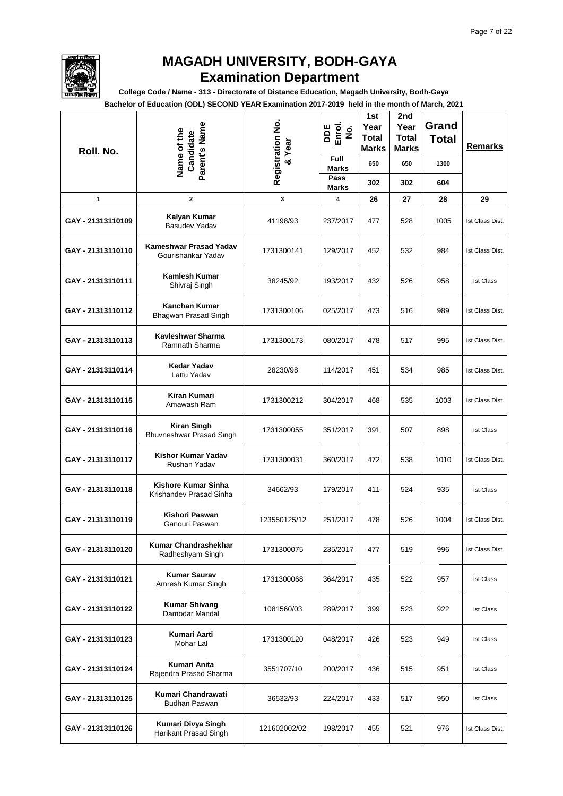

**College Code / Name - 313 - Directorate of Distance Education, Magadh University, Bodh-Gaya**

| Roll. No.         | Parent's Name<br>Name of the<br>Candidate      | Registration No.<br>& Year | DDE<br>Enrol.<br>$\dot{\mathbf{z}}$<br>Full | 1st<br>Year<br><b>Total</b><br>Marks | 2nd<br>Year<br><b>Total</b><br><b>Marks</b> | Grand<br><b>Total</b> | <b>Remarks</b>   |
|-------------------|------------------------------------------------|----------------------------|---------------------------------------------|--------------------------------------|---------------------------------------------|-----------------------|------------------|
|                   |                                                |                            | <b>Marks</b><br>Pass                        | 650                                  | 650                                         | 1300                  |                  |
|                   |                                                |                            | <b>Marks</b>                                | 302                                  | 302                                         | 604                   |                  |
| 1                 | $\mathbf{2}$                                   | 3                          | 4                                           | 26                                   | 27                                          | 28                    | 29               |
| GAY - 21313110109 | Kalyan Kumar<br>Basudev Yadav                  | 41198/93                   | 237/2017                                    | 477                                  | 528                                         | 1005                  | Ist Class Dist.  |
| GAY - 21313110110 | Kameshwar Prasad Yadav<br>Gourishankar Yadav   | 1731300141                 | 129/2017                                    | 452                                  | 532                                         | 984                   | Ist Class Dist.  |
| GAY - 21313110111 | Kamlesh Kumar<br>Shivraj Singh                 | 38245/92                   | 193/2017                                    | 432                                  | 526                                         | 958                   | <b>Ist Class</b> |
| GAY - 21313110112 | <b>Kanchan Kumar</b><br>Bhagwan Prasad Singh   | 1731300106                 | 025/2017                                    | 473                                  | 516                                         | 989                   | Ist Class Dist.  |
| GAY - 21313110113 | Kavleshwar Sharma<br>Ramnath Sharma            | 1731300173                 | 080/2017                                    | 478                                  | 517                                         | 995                   | Ist Class Dist.  |
| GAY - 21313110114 | <b>Kedar Yadav</b><br>Lattu Yadav              | 28230/98                   | 114/2017                                    | 451                                  | 534                                         | 985                   | Ist Class Dist.  |
| GAY - 21313110115 | Kiran Kumari<br>Amawash Ram                    | 1731300212                 | 304/2017                                    | 468                                  | 535                                         | 1003                  | Ist Class Dist.  |
| GAY - 21313110116 | <b>Kiran Singh</b><br>Bhuvneshwar Prasad Singh | 1731300055                 | 351/2017                                    | 391                                  | 507                                         | 898                   | <b>Ist Class</b> |
| GAY - 21313110117 | Kishor Kumar Yadav<br>Rushan Yadav             | 1731300031                 | 360/2017                                    | 472                                  | 538                                         | 1010                  | Ist Class Dist.  |
| GAY - 21313110118 | Kishore Kumar Sinha<br>Krishandev Prasad Sinha | 34662/93                   | 179/2017                                    | 411                                  | 524                                         | 935                   | <b>Ist Class</b> |
| GAY - 21313110119 | Kishori Paswan<br>Ganouri Paswan               | 123550125/12               | 251/2017                                    | 478                                  | 526                                         | 1004                  | Ist Class Dist.  |
| GAY - 21313110120 | Kumar Chandrashekhar<br>Radheshyam Singh       | 1731300075                 | 235/2017                                    | 477                                  | 519                                         | 996                   | Ist Class Dist.  |
| GAY - 21313110121 | <b>Kumar Saurav</b><br>Amresh Kumar Singh      | 1731300068                 | 364/2017                                    | 435                                  | 522                                         | 957                   | <b>Ist Class</b> |
| GAY - 21313110122 | <b>Kumar Shivang</b><br>Damodar Mandal         | 1081560/03                 | 289/2017                                    | 399                                  | 523                                         | 922                   | <b>Ist Class</b> |
| GAY - 21313110123 | Kumari Aarti<br>Mohar Lal                      | 1731300120                 | 048/2017                                    | 426                                  | 523                                         | 949                   | <b>Ist Class</b> |
| GAY - 21313110124 | Kumari Anita<br>Rajendra Prasad Sharma         | 3551707/10                 | 200/2017                                    | 436                                  | 515                                         | 951                   | <b>Ist Class</b> |
| GAY - 21313110125 | Kumari Chandrawati<br><b>Budhan Paswan</b>     | 36532/93                   | 224/2017                                    | 433                                  | 517                                         | 950                   | <b>Ist Class</b> |
| GAY - 21313110126 | Kumari Divya Singh<br>Harikant Prasad Singh    | 121602002/02               | 198/2017                                    | 455                                  | 521                                         | 976                   | Ist Class Dist.  |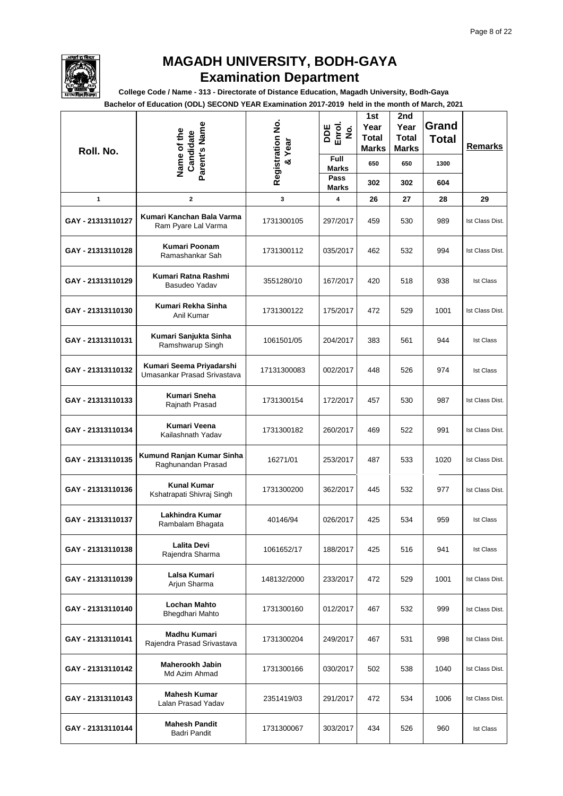

**College Code / Name - 313 - Directorate of Distance Education, Magadh University, Bodh-Gaya**

| Roll. No.         | Parent's Name<br>Name of the<br>Candidate               | Registration No.<br>Year | DDE<br>Enrol.<br>$\dot{\mathbf{z}}$ | 1st<br>Year<br><b>Total</b><br><b>Marks</b> | 2nd<br>Year<br><b>Total</b><br>Marks | Grand<br><b>Total</b> | <b>Remarks</b>   |
|-------------------|---------------------------------------------------------|--------------------------|-------------------------------------|---------------------------------------------|--------------------------------------|-----------------------|------------------|
|                   |                                                         | $\infty$                 | <b>Full</b><br><b>Marks</b>         | 650                                         | 650                                  | 1300                  |                  |
|                   |                                                         |                          | Pass<br>Marks                       | 302                                         | 302                                  | 604                   |                  |
| $\mathbf{1}$      | $\mathbf 2$                                             | 3                        | 4                                   | 26                                          | 27                                   | 28                    | 29               |
| GAY - 21313110127 | Kumari Kanchan Bala Varma<br>Ram Pyare Lal Varma        | 1731300105               | 297/2017                            | 459                                         | 530                                  | 989                   | Ist Class Dist.  |
| GAY - 21313110128 | Kumari Poonam<br>Ramashankar Sah                        | 1731300112               | 035/2017                            | 462                                         | 532                                  | 994                   | Ist Class Dist.  |
| GAY - 21313110129 | Kumari Ratna Rashmi<br>Basudeo Yadav                    | 3551280/10               | 167/2017                            | 420                                         | 518                                  | 938                   | <b>Ist Class</b> |
| GAY - 21313110130 | Kumari Rekha Sinha<br>Anil Kumar                        | 1731300122               | 175/2017                            | 472                                         | 529                                  | 1001                  | Ist Class Dist.  |
| GAY - 21313110131 | Kumari Sanjukta Sinha<br>Ramshwarup Singh               | 1061501/05               | 204/2017                            | 383                                         | 561                                  | 944                   | <b>Ist Class</b> |
| GAY - 21313110132 | Kumari Seema Priyadarshi<br>Umasankar Prasad Srivastava | 17131300083              | 002/2017                            | 448                                         | 526                                  | 974                   | <b>Ist Class</b> |
| GAY - 21313110133 | Kumari Sneha<br>Rajnath Prasad                          | 1731300154               | 172/2017                            | 457                                         | 530                                  | 987                   | Ist Class Dist.  |
| GAY - 21313110134 | Kumari Veena<br>Kailashnath Yadav                       | 1731300182               | 260/2017                            | 469                                         | 522                                  | 991                   | Ist Class Dist.  |
| GAY - 21313110135 | Kumund Ranjan Kumar Sinha<br>Raghunandan Prasad         | 16271/01                 | 253/2017                            | 487                                         | 533                                  | 1020                  | Ist Class Dist.  |
| GAY - 21313110136 | <b>Kunal Kumar</b><br>Kshatrapati Shivraj Singh         | 1731300200               | 362/2017                            | 445                                         | 532                                  | 977                   | Ist Class Dist.  |
| GAY - 21313110137 | Lakhindra Kumar<br>Rambalam Bhagata                     | 40146/94                 | 026/2017                            | 425                                         | 534                                  | 959                   | <b>Ist Class</b> |
| GAY - 21313110138 | <b>Lalita Devi</b><br>Rajendra Sharma                   | 1061652/17               | 188/2017                            | 425                                         | 516                                  | 941                   | <b>Ist Class</b> |
| GAY - 21313110139 | Lalsa Kumari<br>Arjun Sharma                            | 148132/2000              | 233/2017                            | 472                                         | 529                                  | 1001                  | Ist Class Dist.  |
| GAY - 21313110140 | <b>Lochan Mahto</b><br>Bhegdhari Mahto                  | 1731300160               | 012/2017                            | 467                                         | 532                                  | 999                   | Ist Class Dist.  |
| GAY - 21313110141 | <b>Madhu Kumari</b><br>Rajendra Prasad Srivastava       | 1731300204               | 249/2017                            | 467                                         | 531                                  | 998                   | Ist Class Dist.  |
| GAY - 21313110142 | Maherookh Jabin<br>Md Azim Ahmad                        | 1731300166               | 030/2017                            | 502                                         | 538                                  | 1040                  | Ist Class Dist.  |
| GAY - 21313110143 | <b>Mahesh Kumar</b><br>Lalan Prasad Yadav               | 2351419/03               | 291/2017                            | 472                                         | 534                                  | 1006                  | Ist Class Dist.  |
| GAY - 21313110144 | <b>Mahesh Pandit</b><br>Badri Pandit                    | 1731300067               | 303/2017                            | 434                                         | 526                                  | 960                   | <b>Ist Class</b> |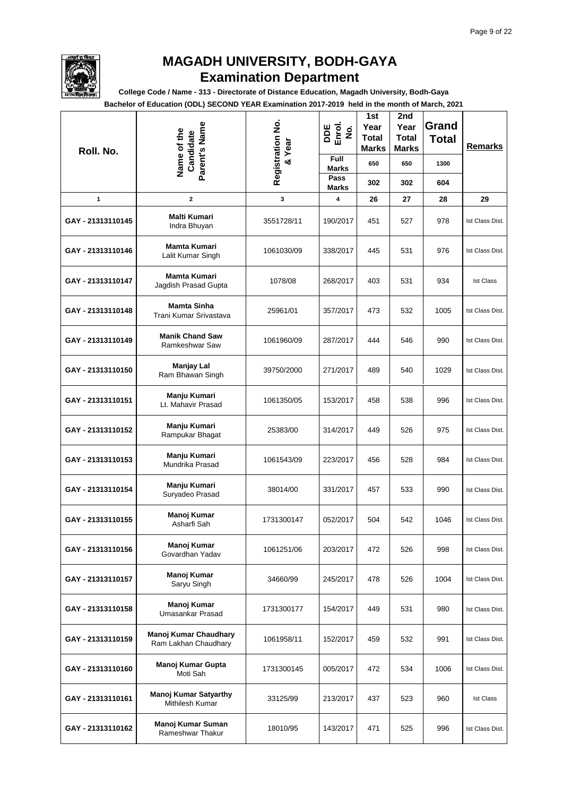

**College Code / Name - 313 - Directorate of Distance Education, Magadh University, Bodh-Gaya**

| Roll. No.         | Parent's Name<br>Name of the<br>Candidate            | Registration No.<br>& Year | DDE<br>Enrol.<br>$\dot{\mathbf{z}}$ | 1st<br>Year<br><b>Total</b><br><b>Marks</b> | 2nd<br>Year<br><b>Total</b><br><b>Marks</b> | Grand<br><b>Total</b> | <b>Remarks</b>   |
|-------------------|------------------------------------------------------|----------------------------|-------------------------------------|---------------------------------------------|---------------------------------------------|-----------------------|------------------|
|                   |                                                      |                            | Full<br><b>Marks</b>                | 650                                         | 650                                         | 1300                  |                  |
|                   |                                                      |                            | Pass<br>Marks                       | 302                                         | 302                                         | 604                   |                  |
| 1                 | $\mathbf{2}$                                         | 3                          | 4                                   | 26                                          | 27                                          | 28                    | 29               |
| GAY - 21313110145 | <b>Malti Kumari</b><br>Indra Bhuyan                  | 3551728/11                 | 190/2017                            | 451                                         | 527                                         | 978                   | Ist Class Dist.  |
| GAY - 21313110146 | Mamta Kumari<br>Lalit Kumar Singh                    | 1061030/09                 | 338/2017                            | 445                                         | 531                                         | 976                   | Ist Class Dist.  |
| GAY - 21313110147 | Mamta Kumari<br>Jagdish Prasad Gupta                 | 1078/08                    | 268/2017                            | 403                                         | 531                                         | 934                   | <b>Ist Class</b> |
| GAY - 21313110148 | <b>Mamta Sinha</b><br>Trani Kumar Srivastava         | 25961/01                   | 357/2017                            | 473                                         | 532                                         | 1005                  | Ist Class Dist.  |
| GAY - 21313110149 | <b>Manik Chand Saw</b><br><b>Ramkeshwar Saw</b>      | 1061960/09                 | 287/2017                            | 444                                         | 546                                         | 990                   | Ist Class Dist.  |
| GAY - 21313110150 | <b>Manjay Lal</b><br>Ram Bhawan Singh                | 39750/2000                 | 271/2017                            | 489                                         | 540                                         | 1029                  | Ist Class Dist.  |
| GAY - 21313110151 | Manju Kumari<br>Lt. Mahavir Prasad                   | 1061350/05                 | 153/2017                            | 458                                         | 538                                         | 996                   | Ist Class Dist.  |
| GAY - 21313110152 | Manju Kumari<br>Rampukar Bhagat                      | 25383/00                   | 314/2017                            | 449                                         | 526                                         | 975                   | Ist Class Dist.  |
| GAY - 21313110153 | Manju Kumari<br>Mundrika Prasad                      | 1061543/09                 | 223/2017                            | 456                                         | 528                                         | 984                   | Ist Class Dist.  |
| GAY - 21313110154 | Manju Kumari<br>Suryadeo Prasad                      | 38014/00                   | 331/2017                            | 457                                         | 533                                         | 990                   | Ist Class Dist.  |
| GAY - 21313110155 | Manoj Kumar<br>Asharfi Sah                           | 1731300147                 | 052/2017                            | 504                                         | 542                                         | 1046                  | Ist Class Dist.  |
| GAY - 21313110156 | Manoj Kumar<br>Govardhan Yadav                       | 1061251/06                 | 203/2017                            | 472                                         | 526                                         | 998                   | Ist Class Dist.  |
| GAY - 21313110157 | Manoj Kumar<br>Saryu Singh                           | 34660/99                   | 245/2017                            | 478                                         | 526                                         | 1004                  | Ist Class Dist.  |
| GAY - 21313110158 | Manoj Kumar<br>Umasankar Prasad                      | 1731300177                 | 154/2017                            | 449                                         | 531                                         | 980                   | Ist Class Dist.  |
| GAY - 21313110159 | <b>Manoj Kumar Chaudhary</b><br>Ram Lakhan Chaudhary | 1061958/11                 | 152/2017                            | 459                                         | 532                                         | 991                   | Ist Class Dist.  |
| GAY - 21313110160 | Manoj Kumar Gupta<br>Moti Sah                        | 1731300145                 | 005/2017                            | 472                                         | 534                                         | 1006                  | Ist Class Dist.  |
| GAY - 21313110161 | <b>Manoj Kumar Satyarthy</b><br>Mithilesh Kumar      | 33125/99                   | 213/2017                            | 437                                         | 523                                         | 960                   | <b>Ist Class</b> |
| GAY - 21313110162 | Manoj Kumar Suman<br>Rameshwar Thakur                | 18010/95                   | 143/2017                            | 471                                         | 525                                         | 996                   | Ist Class Dist.  |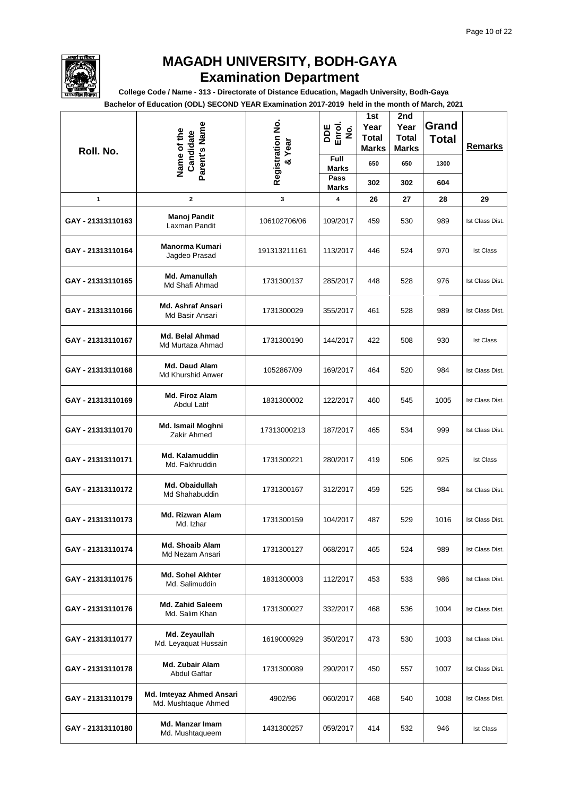

**College Code / Name - 313 - Directorate of Distance Education, Magadh University, Bodh-Gaya**

| Roll. No.         | Parent's Name<br>Name of the<br>Candidate       | Registration No.<br>& Year | DDE<br>Enrol.<br>$\dot{\mathbf{g}}$ | 1st<br>Year<br><b>Total</b><br><b>Marks</b> | 2nd<br>Year<br><b>Total</b><br><b>Marks</b> | Grand<br><b>Total</b> | <b>Remarks</b>   |
|-------------------|-------------------------------------------------|----------------------------|-------------------------------------|---------------------------------------------|---------------------------------------------|-----------------------|------------------|
|                   |                                                 |                            | Full<br><b>Marks</b>                | 650                                         | 650                                         | 1300                  |                  |
|                   |                                                 |                            | Pass<br>Marks                       | 302                                         | 302                                         | 604                   |                  |
| 1                 | 2                                               | 3                          | 4                                   | 26                                          | 27                                          | 28                    | 29               |
| GAY - 21313110163 | Manoj Pandit<br>Laxman Pandit                   | 106102706/06               | 109/2017                            | 459                                         | 530                                         | 989                   | Ist Class Dist.  |
| GAY - 21313110164 | <b>Manorma Kumari</b><br>Jagdeo Prasad          | 191313211161               | 113/2017                            | 446                                         | 524                                         | 970                   | <b>Ist Class</b> |
| GAY - 21313110165 | Md. Amanullah<br>Md Shafi Ahmad                 | 1731300137                 | 285/2017                            | 448                                         | 528                                         | 976                   | Ist Class Dist.  |
| GAY - 21313110166 | <b>Md. Ashraf Ansari</b><br>Md Basir Ansari     | 1731300029                 | 355/2017                            | 461                                         | 528                                         | 989                   | Ist Class Dist.  |
| GAY - 21313110167 | Md. Belal Ahmad<br>Md Murtaza Ahmad             | 1731300190                 | 144/2017                            | 422                                         | 508                                         | 930                   | <b>Ist Class</b> |
| GAY - 21313110168 | Md. Daud Alam<br><b>Md Khurshid Anwer</b>       | 1052867/09                 | 169/2017                            | 464                                         | 520                                         | 984                   | Ist Class Dist.  |
| GAY - 21313110169 | Md. Firoz Alam<br><b>Abdul Latif</b>            | 1831300002                 | 122/2017                            | 460                                         | 545                                         | 1005                  | Ist Class Dist.  |
| GAY - 21313110170 | Md. Ismail Moghni<br>Zakir Ahmed                | 17313000213                | 187/2017                            | 465                                         | 534                                         | 999                   | Ist Class Dist.  |
| GAY - 21313110171 | Md. Kalamuddin<br>Md. Fakhruddin                | 1731300221                 | 280/2017                            | 419                                         | 506                                         | 925                   | <b>Ist Class</b> |
| GAY - 21313110172 | Md. Obaidullah<br>Md Shahabuddin                | 1731300167                 | 312/2017                            | 459                                         | 525                                         | 984                   | Ist Class Dist.  |
| GAY - 21313110173 | Md. Rizwan Alam<br>Md. Izhar                    | 1731300159                 | 104/2017                            | 487                                         | 529                                         | 1016                  | Ist Class Dist.  |
| GAY - 21313110174 | <b>Md. Shoaib Alam</b><br>Md Nezam Ansari       | 1731300127                 | 068/2017                            | 465                                         | 524                                         | 989                   | Ist Class Dist.  |
| GAY - 21313110175 | Md. Sohel Akhter<br>Md. Salimuddin              | 1831300003                 | 112/2017                            | 453                                         | 533                                         | 986                   | Ist Class Dist.  |
| GAY - 21313110176 | Md. Zahid Saleem<br>Md. Salim Khan              | 1731300027                 | 332/2017                            | 468                                         | 536                                         | 1004                  | Ist Class Dist.  |
| GAY - 21313110177 | Md. Zeyaullah<br>Md. Leyaquat Hussain           | 1619000929                 | 350/2017                            | 473                                         | 530                                         | 1003                  | Ist Class Dist.  |
| GAY - 21313110178 | Md. Zubair Alam<br><b>Abdul Gaffar</b>          | 1731300089                 | 290/2017                            | 450                                         | 557                                         | 1007                  | Ist Class Dist.  |
| GAY - 21313110179 | Md. Imteyaz Ahmed Ansari<br>Md. Mushtaque Ahmed | 4902/96                    | 060/2017                            | 468                                         | 540                                         | 1008                  | Ist Class Dist.  |
| GAY - 21313110180 | Md. Manzar Imam<br>Md. Mushtaqueem              | 1431300257                 | 059/2017                            | 414                                         | 532                                         | 946                   | <b>Ist Class</b> |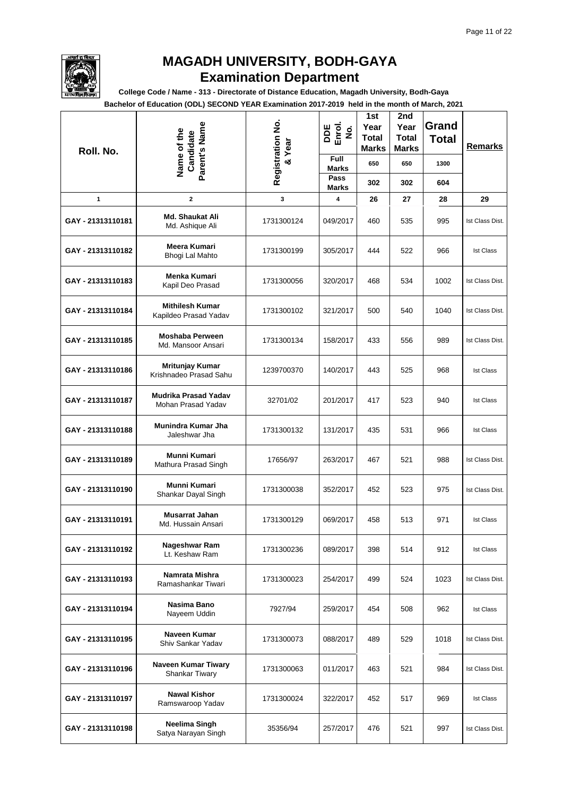

**College Code / Name - 313 - Directorate of Distance Education, Magadh University, Bodh-Gaya**

| Roll. No.         | Parent's Name<br>Name of the<br>Candidate       | Registration No.<br>Year | DDE<br>Enrol.<br>$\dot{\mathbf{g}}$<br>Full | 1st<br>Year<br><b>Total</b><br><b>Marks</b> | 2nd<br>Year<br><b>Total</b><br><b>Marks</b> | Grand<br><b>Total</b> | Remarks          |
|-------------------|-------------------------------------------------|--------------------------|---------------------------------------------|---------------------------------------------|---------------------------------------------|-----------------------|------------------|
|                   |                                                 | ತ                        | <b>Marks</b><br>Pass                        | 650                                         | 650                                         | 1300                  |                  |
|                   |                                                 |                          | Marks                                       | 302                                         | 302                                         | 604                   |                  |
| 1                 | 2                                               | 3                        | 4                                           | 26                                          | 27                                          | 28                    | 29               |
| GAY - 21313110181 | <b>Md. Shaukat Ali</b><br>Md. Ashique Ali       | 1731300124               | 049/2017                                    | 460                                         | 535                                         | 995                   | Ist Class Dist.  |
| GAY - 21313110182 | Meera Kumari<br>Bhogi Lal Mahto                 | 1731300199               | 305/2017                                    | 444                                         | 522                                         | 966                   | <b>Ist Class</b> |
| GAY - 21313110183 | Menka Kumari<br>Kapil Deo Prasad                | 1731300056               | 320/2017                                    | 468                                         | 534                                         | 1002                  | Ist Class Dist.  |
| GAY - 21313110184 | <b>Mithilesh Kumar</b><br>Kapildeo Prasad Yadav | 1731300102               | 321/2017                                    | 500                                         | 540                                         | 1040                  | Ist Class Dist.  |
| GAY - 21313110185 | <b>Moshaba Perween</b><br>Md. Mansoor Ansari    | 1731300134               | 158/2017                                    | 433                                         | 556                                         | 989                   | Ist Class Dist.  |
| GAY - 21313110186 | Mritunjay Kumar<br>Krishnadeo Prasad Sahu       | 1239700370               | 140/2017                                    | 443                                         | 525                                         | 968                   | <b>Ist Class</b> |
| GAY - 21313110187 | Mudrika Prasad Yadav<br>Mohan Prasad Yadav      | 32701/02                 | 201/2017                                    | 417                                         | 523                                         | 940                   | <b>Ist Class</b> |
| GAY - 21313110188 | Munindra Kumar Jha<br>Jaleshwar Jha             | 1731300132               | 131/2017                                    | 435                                         | 531                                         | 966                   | <b>Ist Class</b> |
| GAY - 21313110189 | Munni Kumari<br>Mathura Prasad Singh            | 17656/97                 | 263/2017                                    | 467                                         | 521                                         | 988                   | Ist Class Dist.  |
| GAY - 21313110190 | Munni Kumari<br>Shankar Dayal Singh             | 1731300038               | 352/2017                                    | 452                                         | 523                                         | 975                   | Ist Class Dist.  |
| GAY - 21313110191 | Musarrat Jahan<br>Md. Hussain Ansari            | 1731300129               | 069/2017                                    | 458                                         | 513                                         | 971                   | <b>Ist Class</b> |
| GAY - 21313110192 | Nageshwar Ram<br>Lt. Keshaw Ram                 | 1731300236               | 089/2017                                    | 398                                         | 514                                         | 912                   | <b>Ist Class</b> |
| GAY - 21313110193 | Namrata Mishra<br>Ramashankar Tiwari            | 1731300023               | 254/2017                                    | 499                                         | 524                                         | 1023                  | Ist Class Dist.  |
| GAY - 21313110194 | Nasima Bano<br>Nayeem Uddin                     | 7927/94                  | 259/2017                                    | 454                                         | 508                                         | 962                   | <b>Ist Class</b> |
| GAY - 21313110195 | Naveen Kumar<br>Shiv Sankar Yadav               | 1731300073               | 088/2017                                    | 489                                         | 529                                         | 1018                  | Ist Class Dist.  |
| GAY - 21313110196 | Naveen Kumar Tiwary<br><b>Shankar Tiwary</b>    | 1731300063               | 011/2017                                    | 463                                         | 521                                         | 984                   | Ist Class Dist.  |
| GAY - 21313110197 | <b>Nawal Kishor</b><br>Ramswaroop Yadav         | 1731300024               | 322/2017                                    | 452                                         | 517                                         | 969                   | <b>Ist Class</b> |
| GAY - 21313110198 | Neelima Singh<br>Satya Narayan Singh            | 35356/94                 | 257/2017                                    | 476                                         | 521                                         | 997                   | Ist Class Dist.  |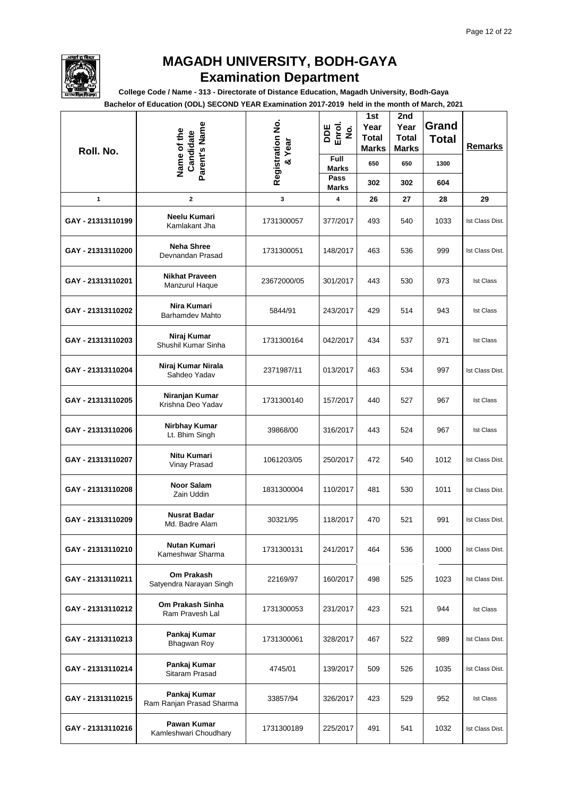

**College Code / Name - 313 - Directorate of Distance Education, Magadh University, Bodh-Gaya**

| Roll. No.         | Parent's Name<br>Name of the<br>Candidate | Registration No.<br>Year | DDE<br>Enrol.<br>$\dot{\mathbf{z}}$<br><b>Full</b> | 1st<br>Year<br><b>Total</b><br><b>Marks</b> | 2nd<br>Year<br><b>Total</b><br><b>Marks</b> | Grand<br><b>Total</b> | <b>Remarks</b>   |
|-------------------|-------------------------------------------|--------------------------|----------------------------------------------------|---------------------------------------------|---------------------------------------------|-----------------------|------------------|
|                   |                                           | $\infty$                 | <b>Marks</b><br>Pass                               | 650                                         | 650                                         | 1300                  |                  |
|                   |                                           |                          | <b>Marks</b>                                       | 302                                         | 302                                         | 604                   |                  |
| 1                 | $\mathbf{2}$                              | 3                        | 4                                                  | 26                                          | 27                                          | 28                    | 29               |
| GAY - 21313110199 | Neelu Kumari<br>Kamlakant Jha             | 1731300057               | 377/2017                                           | 493                                         | 540                                         | 1033                  | Ist Class Dist.  |
| GAY - 21313110200 | <b>Neha Shree</b><br>Devnandan Prasad     | 1731300051               | 148/2017                                           | 463                                         | 536                                         | 999                   | Ist Class Dist.  |
| GAY - 21313110201 | <b>Nikhat Praveen</b><br>Manzurul Haque   | 23672000/05              | 301/2017                                           | 443                                         | 530                                         | 973                   | <b>Ist Class</b> |
| GAY - 21313110202 | Nira Kumari<br><b>Barhamdev Mahto</b>     | 5844/91                  | 243/2017                                           | 429                                         | 514                                         | 943                   | <b>Ist Class</b> |
| GAY - 21313110203 | Niraj Kumar<br>Shushil Kumar Sinha        | 1731300164               | 042/2017                                           | 434                                         | 537                                         | 971                   | <b>Ist Class</b> |
| GAY - 21313110204 | Niraj Kumar Nirala<br>Sahdeo Yadav        | 2371987/11               | 013/2017                                           | 463                                         | 534                                         | 997                   | Ist Class Dist.  |
| GAY - 21313110205 | Niranjan Kumar<br>Krishna Deo Yadav       | 1731300140               | 157/2017                                           | 440                                         | 527                                         | 967                   | <b>Ist Class</b> |
| GAY - 21313110206 | Nirbhay Kumar<br>Lt. Bhim Singh           | 39868/00                 | 316/2017                                           | 443                                         | 524                                         | 967                   | <b>Ist Class</b> |
| GAY - 21313110207 | Nitu Kumari<br>Vinay Prasad               | 1061203/05               | 250/2017                                           | 472                                         | 540                                         | 1012                  | Ist Class Dist.  |
| GAY - 21313110208 | <b>Noor Salam</b><br>Zain Uddin           | 1831300004               | 110/2017                                           | 481                                         | 530                                         | 1011                  | Ist Class Dist.  |
| GAY - 21313110209 | <b>Nusrat Badar</b><br>Md. Badre Alam     | 30321/95                 | 118/2017                                           | 470                                         | 521                                         | 991                   | Ist Class Dist.  |
| GAY - 21313110210 | <b>Nutan Kumari</b><br>Kameshwar Sharma   | 1731300131               | 241/2017                                           | 464                                         | 536                                         | 1000                  | Ist Class Dist.  |
| GAY - 21313110211 | Om Prakash<br>Satyendra Narayan Singh     | 22169/97                 | 160/2017                                           | 498                                         | 525                                         | 1023                  | Ist Class Dist.  |
| GAY - 21313110212 | Om Prakash Sinha<br>Ram Pravesh Lal       | 1731300053               | 231/2017                                           | 423                                         | 521                                         | 944                   | <b>Ist Class</b> |
| GAY - 21313110213 | Pankaj Kumar<br><b>Bhagwan Roy</b>        | 1731300061               | 328/2017                                           | 467                                         | 522                                         | 989                   | Ist Class Dist.  |
| GAY - 21313110214 | Pankaj Kumar<br>Sitaram Prasad            | 4745/01                  | 139/2017                                           | 509                                         | 526                                         | 1035                  | Ist Class Dist.  |
| GAY - 21313110215 | Pankaj Kumar<br>Ram Ranjan Prasad Sharma  | 33857/94                 | 326/2017                                           | 423                                         | 529                                         | 952                   | <b>Ist Class</b> |
| GAY - 21313110216 | Pawan Kumar<br>Kamleshwari Choudhary      | 1731300189               | 225/2017                                           | 491                                         | 541                                         | 1032                  | Ist Class Dist.  |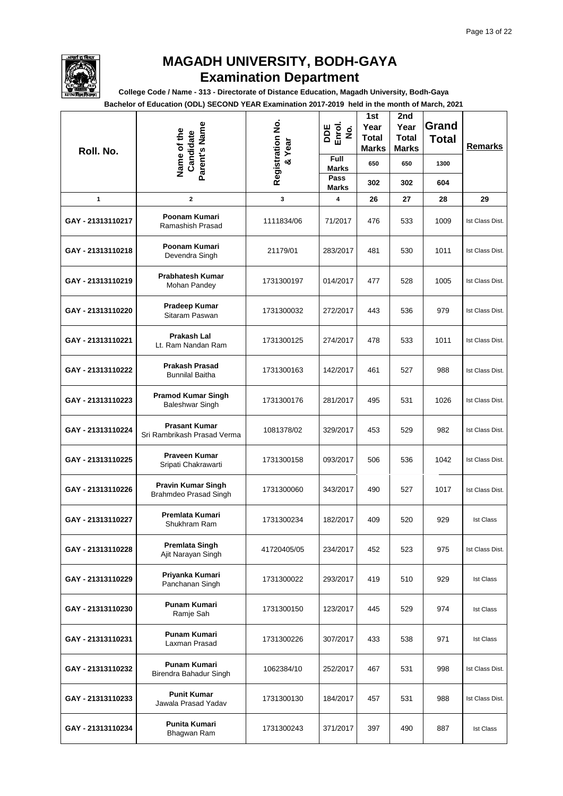

**College Code / Name - 313 - Directorate of Distance Education, Magadh University, Bodh-Gaya**

| Roll. No.         | Parent's Name<br>Name of the<br>Candidate           | Registration No.<br>& Year | DDE<br>Enrol.<br>$\dot{\mathbf{g}}$<br>Full | 1st<br>Year<br><b>Total</b><br>Marks<br>650 | 2nd<br>Year<br><b>Total</b><br><b>Marks</b><br>650 | Grand<br><b>Total</b><br>1300 | Remarks          |
|-------------------|-----------------------------------------------------|----------------------------|---------------------------------------------|---------------------------------------------|----------------------------------------------------|-------------------------------|------------------|
|                   |                                                     |                            | <b>Marks</b><br>Pass                        | 302                                         | 302                                                | 604                           |                  |
| 1                 | $\mathbf{2}$                                        | 3                          | <b>Marks</b><br>4                           | 26                                          | 27                                                 | 28                            | 29               |
| GAY - 21313110217 | Poonam Kumari<br>Ramashish Prasad                   | 1111834/06                 | 71/2017                                     | 476                                         | 533                                                | 1009                          | Ist Class Dist.  |
| GAY - 21313110218 | Poonam Kumari<br>Devendra Singh                     | 21179/01                   | 283/2017                                    | 481                                         | 530                                                | 1011                          | Ist Class Dist.  |
| GAY - 21313110219 | <b>Prabhatesh Kumar</b><br>Mohan Pandey             | 1731300197                 | 014/2017                                    | 477                                         | 528                                                | 1005                          | Ist Class Dist.  |
| GAY - 21313110220 | <b>Pradeep Kumar</b><br>Sitaram Paswan              | 1731300032                 | 272/2017                                    | 443                                         | 536                                                | 979                           | Ist Class Dist.  |
| GAY - 21313110221 | <b>Prakash Lal</b><br>Lt. Ram Nandan Ram            | 1731300125                 | 274/2017                                    | 478                                         | 533                                                | 1011                          | Ist Class Dist.  |
| GAY - 21313110222 | <b>Prakash Prasad</b><br><b>Bunnilal Baitha</b>     | 1731300163                 | 142/2017                                    | 461                                         | 527                                                | 988                           | Ist Class Dist.  |
| GAY - 21313110223 | <b>Pramod Kumar Singh</b><br>Baleshwar Singh        | 1731300176                 | 281/2017                                    | 495                                         | 531                                                | 1026                          | Ist Class Dist.  |
| GAY - 21313110224 | <b>Prasant Kumar</b><br>Sri Rambrikash Prasad Verma | 1081378/02                 | 329/2017                                    | 453                                         | 529                                                | 982                           | Ist Class Dist.  |
| GAY - 21313110225 | Praveen Kumar<br>Sripati Chakrawarti                | 1731300158                 | 093/2017                                    | 506                                         | 536                                                | 1042                          | Ist Class Dist.  |
| GAY - 21313110226 | <b>Pravin Kumar Singh</b><br>Brahmdeo Prasad Singh  | 1731300060                 | 343/2017                                    | 490                                         | 527                                                | 1017                          | Ist Class Dist.  |
| GAY - 21313110227 | Premlata Kumari<br>Shukhram Ram                     | 1731300234                 | 182/2017                                    | 409                                         | 520                                                | 929                           | <b>Ist Class</b> |
| GAY - 21313110228 | <b>Premlata Singh</b><br>Ajit Narayan Singh         | 41720405/05                | 234/2017                                    | 452                                         | 523                                                | 975                           | Ist Class Dist.  |
| GAY - 21313110229 | Priyanka Kumari<br>Panchanan Singh                  | 1731300022                 | 293/2017                                    | 419                                         | 510                                                | 929                           | <b>Ist Class</b> |
| GAY - 21313110230 | Punam Kumari<br>Ramje Sah                           | 1731300150                 | 123/2017                                    | 445                                         | 529                                                | 974                           | <b>Ist Class</b> |
| GAY - 21313110231 | <b>Punam Kumari</b><br>Laxman Prasad                | 1731300226                 | 307/2017                                    | 433                                         | 538                                                | 971                           | <b>Ist Class</b> |
| GAY - 21313110232 | Punam Kumari<br>Birendra Bahadur Singh              | 1062384/10                 | 252/2017                                    | 467                                         | 531                                                | 998                           | Ist Class Dist.  |
| GAY - 21313110233 | <b>Punit Kumar</b><br>Jawala Prasad Yadav           | 1731300130                 | 184/2017                                    | 457                                         | 531                                                | 988                           | Ist Class Dist.  |
| GAY - 21313110234 | Punita Kumari<br>Bhagwan Ram                        | 1731300243                 | 371/2017                                    | 397                                         | 490                                                | 887                           | <b>Ist Class</b> |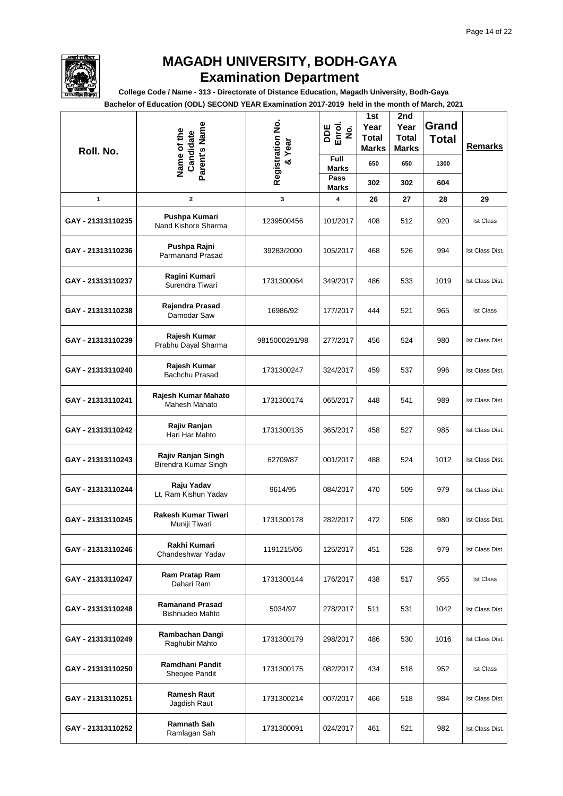

**College Code / Name - 313 - Directorate of Distance Education, Magadh University, Bodh-Gaya**

| Roll. No.         | Parent's Name<br>Name of the<br>Candidate   | Registration No.<br>Year | DDE<br>Enrol.<br>$\dot{\mathbf{z}}$ | 1st<br>Year<br><b>Total</b><br><b>Marks</b> | 2nd<br>Year<br><b>Total</b><br>Marks | Grand<br><b>Total</b> | <b>Remarks</b>   |
|-------------------|---------------------------------------------|--------------------------|-------------------------------------|---------------------------------------------|--------------------------------------|-----------------------|------------------|
|                   |                                             | $\infty$                 | <b>Full</b><br><b>Marks</b>         | 650                                         | 650                                  | 1300                  |                  |
|                   |                                             |                          | Pass<br><b>Marks</b>                | 302                                         | 302                                  | 604                   |                  |
| $\mathbf{1}$      | $\mathbf 2$                                 | 3                        | 4                                   | 26                                          | 27                                   | 28                    | 29               |
| GAY - 21313110235 | Pushpa Kumari<br>Nand Kishore Sharma        | 1239500456               | 101/2017                            | 408                                         | 512                                  | 920                   | <b>Ist Class</b> |
| GAY - 21313110236 | Pushpa Rajni<br><b>Parmanand Prasad</b>     | 39283/2000               | 105/2017                            | 468                                         | 526                                  | 994                   | Ist Class Dist.  |
| GAY - 21313110237 | Ragini Kumari<br>Surendra Tiwari            | 1731300064               | 349/2017                            | 486                                         | 533                                  | 1019                  | Ist Class Dist.  |
| GAY - 21313110238 | Rajendra Prasad<br>Damodar Saw              | 16986/92                 | 177/2017                            | 444                                         | 521                                  | 965                   | <b>Ist Class</b> |
| GAY - 21313110239 | Rajesh Kumar<br>Prabhu Dayal Sharma         | 9815000291/98            | 277/2017                            | 456                                         | 524                                  | 980                   | Ist Class Dist.  |
| GAY - 21313110240 | Rajesh Kumar<br>Bachchu Prasad              | 1731300247               | 324/2017                            | 459                                         | 537                                  | 996                   | Ist Class Dist.  |
| GAY - 21313110241 | Rajesh Kumar Mahato<br><b>Mahesh Mahato</b> | 1731300174               | 065/2017                            | 448                                         | 541                                  | 989                   | Ist Class Dist.  |
| GAY - 21313110242 | Rajiv Ranjan<br>Hari Har Mahto              | 1731300135               | 365/2017                            | 458                                         | 527                                  | 985                   | Ist Class Dist.  |
| GAY - 21313110243 | Rajiv Ranjan Singh<br>Birendra Kumar Singh  | 62709/87                 | 001/2017                            | 488                                         | 524                                  | 1012                  | Ist Class Dist.  |
| GAY - 21313110244 | Raju Yadav<br>Lt. Ram Kishun Yadav          | 9614/95                  | 084/2017                            | 470                                         | 509                                  | 979                   | Ist Class Dist.  |
| GAY - 21313110245 | Rakesh Kumar Tiwari<br>Muniji Tiwari        | 1731300178               | 282/2017                            | 472                                         | 508                                  | 980                   | Ist Class Dist.  |
| GAY - 21313110246 | Rakhi Kumari<br>Chandeshwar Yadav           | 1191215/06               | 125/2017                            | 451                                         | 528                                  | 979                   | Ist Class Dist.  |
| GAY - 21313110247 | Ram Pratap Ram<br>Dahari Ram                | 1731300144               | 176/2017                            | 438                                         | 517                                  | 955                   | <b>Ist Class</b> |
| GAY - 21313110248 | <b>Ramanand Prasad</b><br>Bishnudeo Mahto   | 5034/97                  | 278/2017                            | 511                                         | 531                                  | 1042                  | Ist Class Dist.  |
| GAY - 21313110249 | Rambachan Dangi<br>Raghubir Mahto           | 1731300179               | 298/2017                            | 486                                         | 530                                  | 1016                  | Ist Class Dist.  |
| GAY - 21313110250 | Ramdhani Pandit<br>Sheojee Pandit           | 1731300175               | 082/2017                            | 434                                         | 518                                  | 952                   | <b>Ist Class</b> |
| GAY - 21313110251 | <b>Ramesh Raut</b><br>Jagdish Raut          | 1731300214               | 007/2017                            | 466                                         | 518                                  | 984                   | Ist Class Dist.  |
| GAY - 21313110252 | <b>Ramnath Sah</b><br>Ramlagan Sah          | 1731300091               | 024/2017                            | 461                                         | 521                                  | 982                   | Ist Class Dist.  |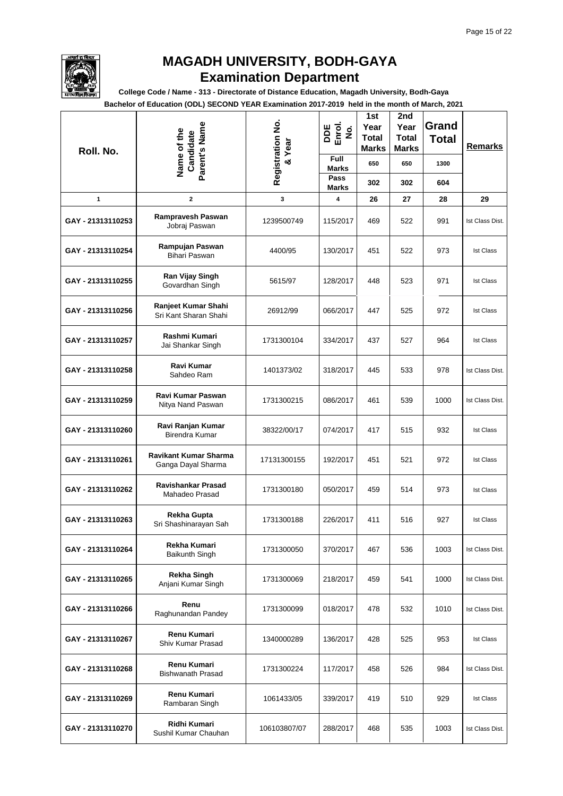

**College Code / Name - 313 - Directorate of Distance Education, Magadh University, Bodh-Gaya**

| Roll. No.         | Parent's Name<br>Name of the<br>Candidate          | Registration No.<br>& Year | DDE<br>Enrol.<br>$\dot{\mathbf{g}}$ | 1st<br>Year<br><b>Total</b><br><b>Marks</b> | 2nd<br>Year<br><b>Total</b><br><b>Marks</b> | Grand<br><b>Total</b> | Remarks          |  |
|-------------------|----------------------------------------------------|----------------------------|-------------------------------------|---------------------------------------------|---------------------------------------------|-----------------------|------------------|--|
|                   |                                                    |                            | Full<br><b>Marks</b>                | 650                                         | 650                                         | 1300                  |                  |  |
|                   |                                                    |                            | Pass<br><b>Marks</b>                | 302                                         | 302                                         | 604                   |                  |  |
| 1                 | $\mathbf 2$                                        | 3                          | 4                                   | 26                                          | 27                                          | 28                    | 29               |  |
| GAY - 21313110253 | Rampravesh Paswan<br>Jobraj Paswan                 | 1239500749                 | 115/2017                            | 469                                         | 522                                         | 991                   | Ist Class Dist.  |  |
| GAY - 21313110254 | Rampujan Paswan<br>Bihari Paswan                   | 4400/95                    | 130/2017                            | 451                                         | 522                                         | 973                   | <b>Ist Class</b> |  |
| GAY - 21313110255 | Ran Vijay Singh<br>Govardhan Singh                 | 5615/97                    | 128/2017                            | 448                                         | 523                                         | 971                   | <b>Ist Class</b> |  |
| GAY - 21313110256 | Ranjeet Kumar Shahi<br>Sri Kant Sharan Shahi       | 26912/99                   | 066/2017                            | 447                                         | 525                                         | 972                   | <b>Ist Class</b> |  |
| GAY - 21313110257 | Rashmi Kumari<br>Jai Shankar Singh                 | 1731300104                 | 334/2017                            | 437                                         | 527                                         | 964                   | <b>Ist Class</b> |  |
| GAY - 21313110258 | Ravi Kumar<br>Sahdeo Ram                           | 1401373/02                 | 318/2017                            | 445                                         | 533                                         | 978                   | Ist Class Dist.  |  |
| GAY - 21313110259 | Ravi Kumar Paswan<br>Nitya Nand Paswan             | 1731300215                 | 086/2017                            | 461                                         | 539                                         | 1000                  | Ist Class Dist.  |  |
| GAY - 21313110260 | Ravi Ranjan Kumar<br>Birendra Kumar                | 38322/00/17                | 074/2017                            | 417                                         | 515                                         | 932                   | <b>Ist Class</b> |  |
| GAY - 21313110261 | <b>Ravikant Kumar Sharma</b><br>Ganga Dayal Sharma | 17131300155                | 192/2017                            | 451                                         | 521                                         | 972                   | <b>Ist Class</b> |  |
| GAY - 21313110262 | Ravishankar Prasad<br>Mahadeo Prasad               | 1731300180                 | 050/2017                            | 459                                         | 514                                         | 973                   | <b>Ist Class</b> |  |
| GAY - 21313110263 | Rekha Gupta<br>Sri Shashinarayan Sah               | 1731300188                 | 226/2017                            | 411                                         | 516                                         | 927                   | <b>Ist Class</b> |  |
| GAY - 21313110264 | Rekha Kumari<br><b>Baikunth Singh</b>              | 1731300050                 | 370/2017                            | 467                                         | 536                                         | 1003                  | Ist Class Dist.  |  |
| GAY - 21313110265 | <b>Rekha Singh</b><br>Anjani Kumar Singh           | 1731300069                 | 218/2017                            | 459                                         | 541                                         | 1000                  | Ist Class Dist.  |  |
| GAY - 21313110266 | Renu<br>Raghunandan Pandey                         | 1731300099                 | 018/2017                            | 478                                         | 532                                         | 1010                  | Ist Class Dist.  |  |
| GAY - 21313110267 | Renu Kumari<br>Shiv Kumar Prasad                   | 1340000289                 | 136/2017                            | 428                                         | 525                                         | 953                   | <b>Ist Class</b> |  |
| GAY - 21313110268 | Renu Kumari<br><b>Bishwanath Prasad</b>            | 1731300224                 | 117/2017                            | 458                                         | 526                                         | 984                   | Ist Class Dist.  |  |
| GAY - 21313110269 | Renu Kumari<br>Rambaran Singh                      | 1061433/05                 | 339/2017                            | 419                                         | 510                                         | 929                   | <b>Ist Class</b> |  |
| GAY - 21313110270 | Ridhi Kumari<br>Sushil Kumar Chauhan               | 106103807/07               | 288/2017                            | 468                                         | 535                                         | 1003                  | Ist Class Dist.  |  |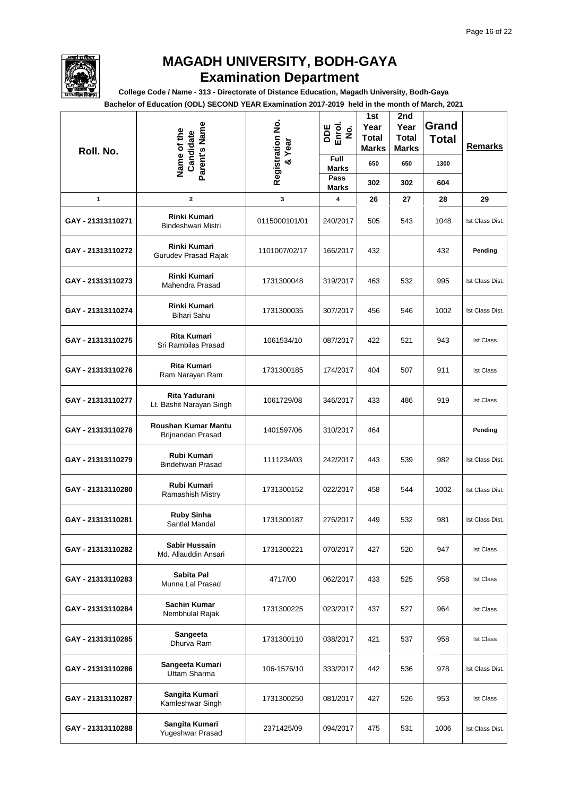

**College Code / Name - 313 - Directorate of Distance Education, Magadh University, Bodh-Gaya**

| Roll. No.         | Parent's Name<br>Name of the<br>Candidate |               | Registration No.<br>DDE<br>Enrol.<br>$\dot{\mathbf{z}}$<br>Year | 1st<br>Year<br><b>Total</b><br><b>Marks</b> | 2nd<br>Year<br><b>Total</b><br><b>Marks</b> | Grand<br><b>Total</b> | Remarks          |
|-------------------|-------------------------------------------|---------------|-----------------------------------------------------------------|---------------------------------------------|---------------------------------------------|-----------------------|------------------|
|                   |                                           | ಷ             | Full<br><b>Marks</b>                                            | 650                                         | 650                                         | 1300                  |                  |
|                   |                                           |               | Pass<br>Marks                                                   | 302                                         | 302                                         | 604                   |                  |
| 1                 | 2                                         | 3             | 4                                                               | 26                                          | 27                                          | 28                    | 29               |
| GAY - 21313110271 | Rinki Kumari<br>Bindeshwari Mistri        | 0115000101/01 | 240/2017                                                        | 505                                         | 543                                         | 1048                  | Ist Class Dist.  |
| GAY - 21313110272 | Rinki Kumari<br>Gurudev Prasad Rajak      | 1101007/02/17 | 166/2017                                                        | 432                                         |                                             | 432                   | Pending          |
| GAY - 21313110273 | <b>Rinki Kumari</b><br>Mahendra Prasad    | 1731300048    | 319/2017                                                        | 463                                         | 532                                         | 995                   | Ist Class Dist.  |
| GAY - 21313110274 | <b>Rinki Kumari</b><br><b>Bihari Sahu</b> | 1731300035    | 307/2017                                                        | 456                                         | 546                                         | 1002                  | Ist Class Dist.  |
| GAY - 21313110275 | Rita Kumari<br>Sri Rambilas Prasad        | 1061534/10    | 087/2017                                                        | 422                                         | 521                                         | 943                   | <b>Ist Class</b> |
| GAY - 21313110276 | <b>Rita Kumari</b><br>Ram Narayan Ram     | 1731300185    | 174/2017                                                        | 404                                         | 507                                         | 911                   | <b>Ist Class</b> |
| GAY - 21313110277 | Rita Yadurani<br>Lt. Bashit Narayan Singh | 1061729/08    | 346/2017                                                        | 433                                         | 486                                         | 919                   | <b>Ist Class</b> |
| GAY - 21313110278 | Roushan Kumar Mantu<br>Brijnandan Prasad  | 1401597/06    | 310/2017                                                        | 464                                         |                                             |                       | Pending          |
| GAY - 21313110279 | Rubi Kumari<br>Bindehwari Prasad          | 1111234/03    | 242/2017                                                        | 443                                         | 539                                         | 982                   | Ist Class Dist.  |
| GAY - 21313110280 | Rubi Kumari<br>Ramashish Mistry           | 1731300152    | 022/2017                                                        | 458                                         | 544                                         | 1002                  | Ist Class Dist.  |
| GAY - 21313110281 | <b>Ruby Sinha</b><br>Santlal Mandal       | 1731300187    | 276/2017                                                        | 449                                         | 532                                         | 981                   | Ist Class Dist.  |
| GAY - 21313110282 | Sabir Hussain<br>Md. Allauddin Ansari     | 1731300221    | 070/2017                                                        | 427                                         | 520                                         | 947                   | <b>Ist Class</b> |
| GAY - 21313110283 | Sabita Pal<br>Munna Lal Prasad            | 4717/00       | 062/2017                                                        | 433                                         | 525                                         | 958                   | <b>Ist Class</b> |
| GAY - 21313110284 | <b>Sachin Kumar</b><br>Nembhulal Rajak    | 1731300225    | 023/2017                                                        | 437                                         | 527                                         | 964                   | <b>Ist Class</b> |
| GAY - 21313110285 | Sangeeta<br>Dhurva Ram                    | 1731300110    | 038/2017                                                        | 421                                         | 537                                         | 958                   | <b>Ist Class</b> |
| GAY - 21313110286 | Sangeeta Kumari<br>Uttam Sharma           | 106-1576/10   | 333/2017                                                        | 442                                         | 536                                         | 978                   | Ist Class Dist.  |
| GAY - 21313110287 | Sangita Kumari<br>Kamleshwar Singh        | 1731300250    | 081/2017                                                        | 427                                         | 526                                         | 953                   | <b>Ist Class</b> |
| GAY - 21313110288 | Sangita Kumari<br>Yugeshwar Prasad        | 2371425/09    | 094/2017                                                        | 475                                         | 531                                         | 1006                  | Ist Class Dist.  |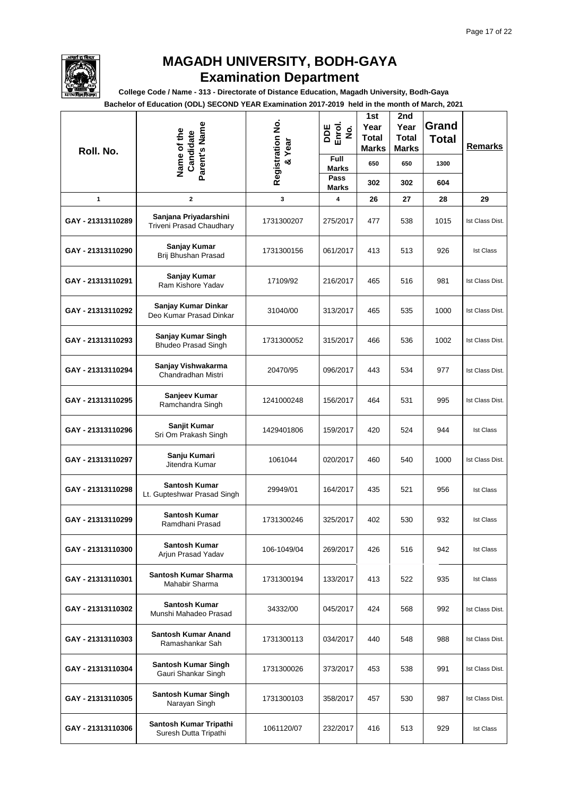

**College Code / Name - 313 - Directorate of Distance Education, Magadh University, Bodh-Gaya**

| Roll. No.         | Parent's Name<br>Name of the<br>Candidate                | Registration No.<br>& Year | DDE<br>Enrol.<br>$\dot{\mathbf{g}}$<br>Full | 1st<br>Year<br>Total<br>Marks | 2nd<br>Year<br><b>Total</b><br>Marks | Grand<br><b>Total</b> | Remarks          |
|-------------------|----------------------------------------------------------|----------------------------|---------------------------------------------|-------------------------------|--------------------------------------|-----------------------|------------------|
|                   |                                                          |                            | <b>Marks</b><br>Pass                        | 650                           | 650                                  | 1300                  |                  |
|                   |                                                          |                            | <b>Marks</b>                                | 302                           | 302                                  | 604                   |                  |
| 1                 | $\mathbf{2}$                                             | 3                          | 4                                           | 26                            | 27                                   | 28                    | 29               |
| GAY - 21313110289 | Sanjana Priyadarshini<br><b>Triveni Prasad Chaudhary</b> | 1731300207                 | 275/2017                                    | 477                           | 538                                  | 1015                  | Ist Class Dist.  |
| GAY - 21313110290 | Sanjay Kumar<br>Brij Bhushan Prasad                      | 1731300156                 | 061/2017                                    | 413                           | 513                                  | 926                   | <b>Ist Class</b> |
| GAY - 21313110291 | Sanjay Kumar<br>Ram Kishore Yadav                        | 17109/92                   | 216/2017                                    | 465                           | 516                                  | 981                   | Ist Class Dist.  |
| GAY - 21313110292 | Sanjay Kumar Dinkar<br>Deo Kumar Prasad Dinkar           | 31040/00                   | 313/2017                                    | 465                           | 535                                  | 1000                  | Ist Class Dist.  |
| GAY - 21313110293 | Sanjay Kumar Singh<br><b>Bhudeo Prasad Singh</b>         | 1731300052                 | 315/2017                                    | 466                           | 536                                  | 1002                  | Ist Class Dist.  |
| GAY - 21313110294 | Sanjay Vishwakarma<br>Chandradhan Mistri                 | 20470/95                   | 096/2017                                    | 443                           | 534                                  | 977                   | Ist Class Dist.  |
| GAY - 21313110295 | Sanjeev Kumar<br>Ramchandra Singh                        | 1241000248                 | 156/2017                                    | 464                           | 531                                  | 995                   | Ist Class Dist.  |
| GAY - 21313110296 | Sanjit Kumar<br>Sri Om Prakash Singh                     | 1429401806                 | 159/2017                                    | 420                           | 524                                  | 944                   | <b>Ist Class</b> |
| GAY - 21313110297 | Sanju Kumari<br>Jitendra Kumar                           | 1061044                    | 020/2017                                    | 460                           | 540                                  | 1000                  | Ist Class Dist.  |
| GAY - 21313110298 | <b>Santosh Kumar</b><br>Lt. Gupteshwar Prasad Singh      | 29949/01                   | 164/2017                                    | 435                           | 521                                  | 956                   | <b>Ist Class</b> |
| GAY - 21313110299 | <b>Santosh Kumar</b><br>Ramdhani Prasad                  | 1731300246                 | 325/2017                                    | 402                           | 530                                  | 932                   | <b>Ist Class</b> |
| GAY - 21313110300 | <b>Santosh Kumar</b><br>Arjun Prasad Yadav               | 106-1049/04                | 269/2017                                    | 426                           | 516                                  | 942                   | <b>Ist Class</b> |
| GAY - 21313110301 | Santosh Kumar Sharma<br>Mahabir Sharma                   | 1731300194                 | 133/2017                                    | 413                           | 522                                  | 935                   | <b>Ist Class</b> |
| GAY - 21313110302 | <b>Santosh Kumar</b><br>Munshi Mahadeo Prasad            | 34332/00                   | 045/2017                                    | 424                           | 568                                  | 992                   | Ist Class Dist.  |
| GAY - 21313110303 | <b>Santosh Kumar Anand</b><br>Ramashankar Sah            | 1731300113                 | 034/2017                                    | 440                           | 548                                  | 988                   | Ist Class Dist.  |
| GAY - 21313110304 | <b>Santosh Kumar Singh</b><br>Gauri Shankar Singh        | 1731300026                 | 373/2017                                    | 453                           | 538                                  | 991                   | Ist Class Dist.  |
| GAY - 21313110305 | Santosh Kumar Singh<br>Narayan Singh                     | 1731300103                 | 358/2017                                    | 457                           | 530                                  | 987                   | Ist Class Dist.  |
| GAY - 21313110306 | Santosh Kumar Tripathi<br>Suresh Dutta Tripathi          | 1061120/07                 | 232/2017                                    | 416                           | 513                                  | 929                   | <b>Ist Class</b> |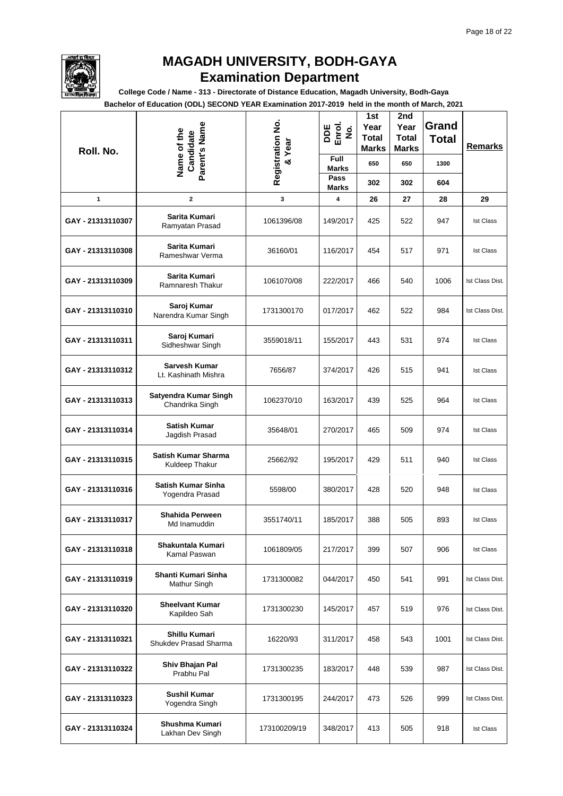

**College Code / Name - 313 - Directorate of Distance Education, Magadh University, Bodh-Gaya**

| Roll. No.         | Parent's Name<br>Name of the<br>Candidate    | Registration No.<br>& Year | DDE<br>Enrol.<br>$\dot{\mathbf{g}}$<br>Full | 1st<br>Year<br>Total<br>Marks | 2nd<br>Year<br><b>Total</b><br><b>Marks</b> | Grand<br><b>Total</b> | <b>Remarks</b>   |
|-------------------|----------------------------------------------|----------------------------|---------------------------------------------|-------------------------------|---------------------------------------------|-----------------------|------------------|
|                   |                                              |                            | <b>Marks</b><br>Pass                        | 650                           | 650                                         | 1300                  |                  |
|                   |                                              |                            | <b>Marks</b>                                | 302                           | 302                                         | 604                   |                  |
| 1                 | $\mathbf{2}$                                 | 3                          | 4                                           | 26                            | 27                                          | 28                    | 29               |
| GAY - 21313110307 | Sarita Kumari<br>Ramyatan Prasad             | 1061396/08                 | 149/2017                                    | 425                           | 522                                         | 947                   | <b>Ist Class</b> |
| GAY - 21313110308 | Sarita Kumari<br>Rameshwar Verma             | 36160/01                   | 116/2017                                    | 454                           | 517                                         | 971                   | <b>Ist Class</b> |
| GAY - 21313110309 | Sarita Kumari<br>Ramnaresh Thakur            | 1061070/08                 | 222/2017                                    | 466                           | 540                                         | 1006                  | Ist Class Dist.  |
| GAY - 21313110310 | Saroj Kumar<br>Narendra Kumar Singh          | 1731300170                 | 017/2017                                    | 462                           | 522                                         | 984                   | Ist Class Dist.  |
| GAY - 21313110311 | Saroj Kumari<br>Sidheshwar Singh             | 3559018/11                 | 155/2017                                    | 443                           | 531                                         | 974                   | <b>Ist Class</b> |
| GAY - 21313110312 | <b>Sarvesh Kumar</b><br>Lt. Kashinath Mishra | 7656/87                    | 374/2017                                    | 426                           | 515                                         | 941                   | <b>Ist Class</b> |
| GAY - 21313110313 | Satyendra Kumar Singh<br>Chandrika Singh     | 1062370/10                 | 163/2017                                    | 439                           | 525                                         | 964                   | <b>Ist Class</b> |
| GAY - 21313110314 | <b>Satish Kumar</b><br>Jagdish Prasad        | 35648/01                   | 270/2017                                    | 465                           | 509                                         | 974                   | <b>Ist Class</b> |
| GAY - 21313110315 | Satish Kumar Sharma<br>Kuldeep Thakur        | 25662/92                   | 195/2017                                    | 429                           | 511                                         | 940                   | <b>Ist Class</b> |
| GAY - 21313110316 | <b>Satish Kumar Sinha</b><br>Yogendra Prasad | 5598/00                    | 380/2017                                    | 428                           | 520                                         | 948                   | <b>Ist Class</b> |
| GAY - 21313110317 | Shahida Perween<br>Md Inamuddin              | 3551740/11                 | 185/2017                                    | 388                           | 505                                         | 893                   | <b>Ist Class</b> |
| GAY - 21313110318 | Shakuntala Kumari<br>Kamal Paswan            | 1061809/05                 | 217/2017                                    | 399                           | 507                                         | 906                   | <b>Ist Class</b> |
| GAY - 21313110319 | Shanti Kumari Sinha<br>Mathur Singh          | 1731300082                 | 044/2017                                    | 450                           | 541                                         | 991                   | Ist Class Dist.  |
| GAY - 21313110320 | <b>Sheelvant Kumar</b><br>Kapildeo Sah       | 1731300230                 | 145/2017                                    | 457                           | 519                                         | 976                   | Ist Class Dist.  |
| GAY - 21313110321 | Shillu Kumari<br>Shukdev Prasad Sharma       | 16220/93                   | 311/2017                                    | 458                           | 543                                         | 1001                  | Ist Class Dist.  |
| GAY - 21313110322 | Shiv Bhajan Pal<br>Prabhu Pal                | 1731300235                 | 183/2017                                    | 448                           | 539                                         | 987                   | Ist Class Dist.  |
| GAY - 21313110323 | Sushil Kumar<br>Yogendra Singh               | 1731300195                 | 244/2017                                    | 473                           | 526                                         | 999                   | Ist Class Dist.  |
| GAY - 21313110324 | Shushma Kumari<br>Lakhan Dev Singh           | 173100209/19               | 348/2017                                    | 413                           | 505                                         | 918                   | <b>Ist Class</b> |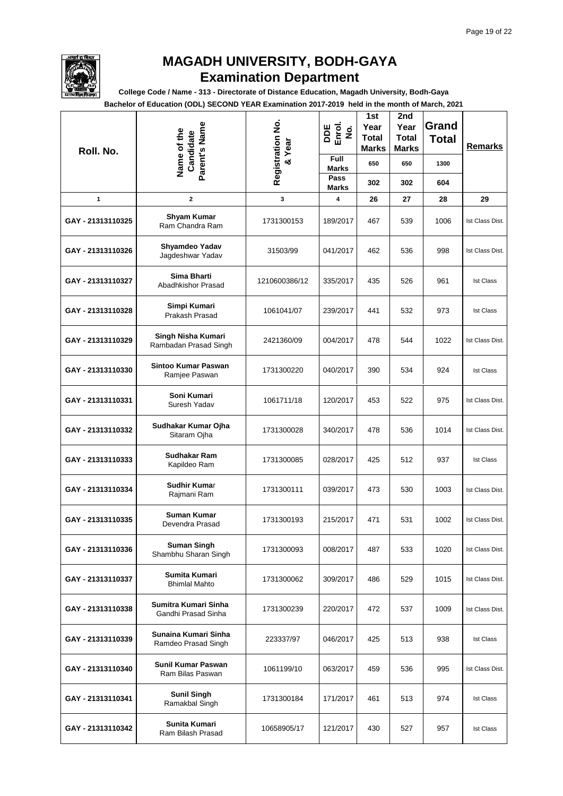

**College Code / Name - 313 - Directorate of Distance Education, Magadh University, Bodh-Gaya**

| Roll. No.         | Parent's Name<br>Name of the<br>Candidate   | Registration No.<br>& Year | DDE<br>Enrol.<br>$\dot{\mathbf{g}}$ | 1st<br>Year<br><b>Total</b><br>Marks | 2nd<br>Year<br><b>Total</b><br><b>Marks</b> | Grand<br><b>Total</b> | <b>Remarks</b>   |
|-------------------|---------------------------------------------|----------------------------|-------------------------------------|--------------------------------------|---------------------------------------------|-----------------------|------------------|
|                   |                                             |                            | Full<br><b>Marks</b><br>Pass        | 650                                  | 650                                         | 1300                  |                  |
|                   |                                             |                            | <b>Marks</b>                        | 302                                  | 302                                         | 604                   |                  |
| 1                 | $\mathbf 2$                                 | 3                          | 4                                   | 26                                   | 27                                          | 28                    | 29               |
| GAY - 21313110325 | <b>Shyam Kumar</b><br>Ram Chandra Ram       | 1731300153                 | 189/2017                            | 467                                  | 539                                         | 1006                  | Ist Class Dist.  |
| GAY - 21313110326 | Shyamdeo Yadav<br>Jagdeshwar Yadav          | 31503/99                   | 041/2017                            | 462                                  | 536                                         | 998                   | Ist Class Dist.  |
| GAY - 21313110327 | Sima Bharti<br>Abadhkishor Prasad           | 1210600386/12              | 335/2017                            | 435                                  | 526                                         | 961                   | <b>Ist Class</b> |
| GAY - 21313110328 | Simpi Kumari<br>Prakash Prasad              | 1061041/07                 | 239/2017                            | 441                                  | 532                                         | 973                   | <b>Ist Class</b> |
| GAY - 21313110329 | Singh Nisha Kumari<br>Rambadan Prasad Singh | 2421360/09                 | 004/2017                            | 478                                  | 544                                         | 1022                  | Ist Class Dist.  |
| GAY - 21313110330 | Sintoo Kumar Paswan<br>Ramjee Paswan        | 1731300220                 | 040/2017                            | 390                                  | 534                                         | 924                   | <b>Ist Class</b> |
| GAY - 21313110331 | Soni Kumari<br>Suresh Yadav                 | 1061711/18                 | 120/2017                            | 453                                  | 522                                         | 975                   | Ist Class Dist.  |
| GAY - 21313110332 | Sudhakar Kumar Ojha<br>Sitaram Ojha         | 1731300028                 | 340/2017                            | 478                                  | 536                                         | 1014                  | Ist Class Dist.  |
| GAY - 21313110333 | Sudhakar Ram<br>Kapildeo Ram                | 1731300085                 | 028/2017                            | 425                                  | 512                                         | 937                   | <b>Ist Class</b> |
| GAY - 21313110334 | <b>Sudhir Kumar</b><br>Rajmani Ram          | 1731300111                 | 039/2017                            | 473                                  | 530                                         | 1003                  | Ist Class Dist.  |
| GAY - 21313110335 | Suman Kumar<br>Devendra Prasad              | 1731300193                 | 215/2017                            | 471                                  | 531                                         | 1002                  | Ist Class Dist.  |
| GAY - 21313110336 | <b>Suman Singh</b><br>Shambhu Sharan Singh  | 1731300093                 | 008/2017                            | 487                                  | 533                                         | 1020                  | Ist Class Dist.  |
| GAY - 21313110337 | Sumita Kumari<br><b>Bhimlal Mahto</b>       | 1731300062                 | 309/2017                            | 486                                  | 529                                         | 1015                  | Ist Class Dist.  |
| GAY - 21313110338 | Sumitra Kumari Sinha<br>Gandhi Prasad Sinha | 1731300239                 | 220/2017                            | 472                                  | 537                                         | 1009                  | Ist Class Dist.  |
| GAY - 21313110339 | Sunaina Kumari Sinha<br>Ramdeo Prasad Singh | 223337/97                  | 046/2017                            | 425                                  | 513                                         | 938                   | <b>Ist Class</b> |
| GAY - 21313110340 | Sunil Kumar Paswan<br>Ram Bilas Paswan      | 1061199/10                 | 063/2017                            | 459                                  | 536                                         | 995                   | Ist Class Dist.  |
| GAY - 21313110341 | <b>Sunil Singh</b><br>Ramakbal Singh        | 1731300184                 | 171/2017                            | 461                                  | 513                                         | 974                   | <b>Ist Class</b> |
| GAY - 21313110342 | Sunita Kumari<br>Ram Bilash Prasad          | 10658905/17                | 121/2017                            | 430                                  | 527                                         | 957                   | <b>Ist Class</b> |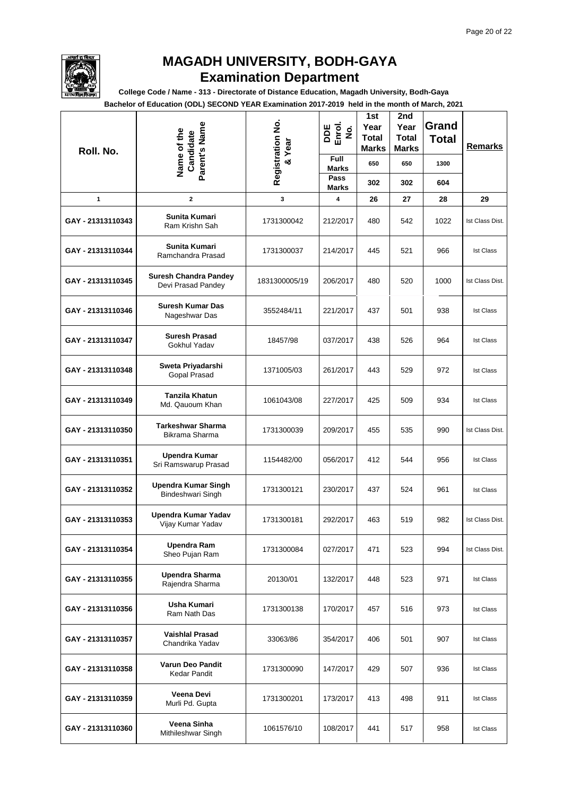

**College Code / Name - 313 - Directorate of Distance Education, Magadh University, Bodh-Gaya**

| Roll. No.         | Parent's Name<br>Name of the<br>Candidate          | Registration No.<br>& Year | DDE<br>Enrol.<br>$\dot{\mathbf{g}}$<br>Full | 1st<br>Year<br>Total<br>Marks | 2nd<br>Year<br><b>Total</b><br><b>Marks</b> | Grand<br><b>Total</b> | Remarks          |
|-------------------|----------------------------------------------------|----------------------------|---------------------------------------------|-------------------------------|---------------------------------------------|-----------------------|------------------|
|                   |                                                    |                            | <b>Marks</b><br>Pass                        | 650                           | 650                                         | 1300                  |                  |
|                   |                                                    |                            | <b>Marks</b>                                | 302                           | 302                                         | 604                   |                  |
| 1                 | $\mathbf{2}$                                       | 3                          | 4                                           | 26                            | 27                                          | 28                    | 29               |
| GAY - 21313110343 | Sunita Kumari<br>Ram Krishn Sah                    | 1731300042                 | 212/2017                                    | 480                           | 542                                         | 1022                  | Ist Class Dist.  |
| GAY - 21313110344 | Sunita Kumari<br>Ramchandra Prasad                 | 1731300037                 | 214/2017                                    | 445                           | 521                                         | 966                   | <b>Ist Class</b> |
| GAY - 21313110345 | <b>Suresh Chandra Pandey</b><br>Devi Prasad Pandey | 1831300005/19              | 206/2017                                    | 480                           | 520                                         | 1000                  | Ist Class Dist.  |
| GAY - 21313110346 | <b>Suresh Kumar Das</b><br>Nageshwar Das           | 3552484/11                 | 221/2017                                    | 437                           | 501                                         | 938                   | <b>Ist Class</b> |
| GAY - 21313110347 | <b>Suresh Prasad</b><br>Gokhul Yadav               | 18457/98                   | 037/2017                                    | 438                           | 526                                         | 964                   | <b>Ist Class</b> |
| GAY - 21313110348 | Sweta Priyadarshi<br><b>Gopal Prasad</b>           | 1371005/03                 | 261/2017                                    | 443                           | 529                                         | 972                   | <b>Ist Class</b> |
| GAY - 21313110349 | Tanzila Khatun<br>Md. Qauoum Khan                  | 1061043/08                 | 227/2017                                    | 425                           | 509                                         | 934                   | <b>Ist Class</b> |
| GAY - 21313110350 | <b>Tarkeshwar Sharma</b><br>Bikrama Sharma         | 1731300039                 | 209/2017                                    | 455                           | 535                                         | 990                   | Ist Class Dist.  |
| GAY - 21313110351 | Upendra Kumar<br>Sri Ramswarup Prasad              | 1154482/00                 | 056/2017                                    | 412                           | 544                                         | 956                   | <b>Ist Class</b> |
| GAY - 21313110352 | <b>Upendra Kumar Singh</b><br>Bindeshwari Singh    | 1731300121                 | 230/2017                                    | 437                           | 524                                         | 961                   | <b>Ist Class</b> |
| GAY - 21313110353 | Upendra Kumar Yadav<br>Vijay Kumar Yadav           | 1731300181                 | 292/2017                                    | 463                           | 519                                         | 982                   | Ist Class Dist.  |
| GAY - 21313110354 | <b>Upendra Ram</b><br>Sheo Pujan Ram               | 1731300084                 | 027/2017                                    | 471                           | 523                                         | 994                   | Ist Class Dist.  |
| GAY - 21313110355 | <b>Upendra Sharma</b><br>Rajendra Sharma           | 20130/01                   | 132/2017                                    | 448                           | 523                                         | 971                   | <b>Ist Class</b> |
| GAY - 21313110356 | Usha Kumari<br>Ram Nath Das                        | 1731300138                 | 170/2017                                    | 457                           | 516                                         | 973                   | <b>Ist Class</b> |
| GAY - 21313110357 | <b>Vaishlal Prasad</b><br>Chandrika Yadav          | 33063/86                   | 354/2017                                    | 406                           | 501                                         | 907                   | <b>Ist Class</b> |
| GAY - 21313110358 | Varun Deo Pandit<br><b>Kedar Pandit</b>            | 1731300090                 | 147/2017                                    | 429                           | 507                                         | 936                   | <b>Ist Class</b> |
| GAY - 21313110359 | Veena Devi<br>Murli Pd. Gupta                      | 1731300201                 | 173/2017                                    | 413                           | 498                                         | 911                   | <b>Ist Class</b> |
| GAY - 21313110360 | Veena Sinha<br>Mithileshwar Singh                  | 1061576/10                 | 108/2017                                    | 441                           | 517                                         | 958                   | <b>Ist Class</b> |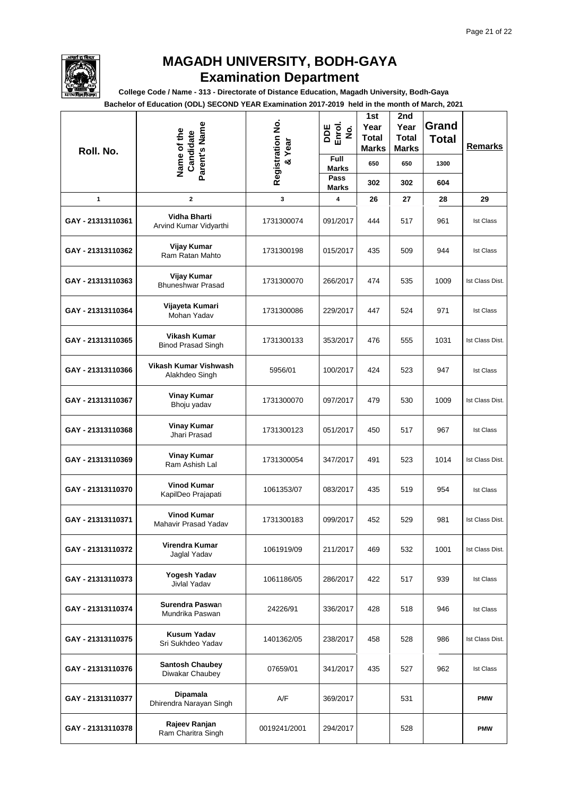

**College Code / Name - 313 - Directorate of Distance Education, Magadh University, Bodh-Gaya**

| Roll. No.         | Parent's Name<br>Name of the<br>Candidate     | Registration No.<br>& Year | DDE<br>Enrol.<br>$\dot{\mathbf{g}}$ | 1st<br>Year<br><b>Total</b><br><b>Marks</b> | 2nd<br>Year<br><b>Total</b><br><b>Marks</b> | Grand<br><b>Total</b> | Remarks          |
|-------------------|-----------------------------------------------|----------------------------|-------------------------------------|---------------------------------------------|---------------------------------------------|-----------------------|------------------|
|                   |                                               |                            | Full<br><b>Marks</b>                | 650                                         | 650                                         | 1300                  |                  |
|                   |                                               |                            | Pass<br><b>Marks</b>                | 302                                         | 302                                         | 604                   |                  |
| 1                 | $\mathbf 2$                                   | 3                          | 4                                   | 26                                          | 27                                          | 28                    | 29               |
| GAY - 21313110361 | <b>Vidha Bharti</b><br>Arvind Kumar Vidyarthi | 1731300074                 | 091/2017                            | 444                                         | 517                                         | 961                   | <b>Ist Class</b> |
| GAY - 21313110362 | Vijay Kumar<br>Ram Ratan Mahto                | 1731300198                 | 015/2017                            | 435                                         | 509                                         | 944                   | <b>Ist Class</b> |
| GAY - 21313110363 | Vijay Kumar<br><b>Bhuneshwar Prasad</b>       | 1731300070                 | 266/2017                            | 474                                         | 535                                         | 1009                  | Ist Class Dist.  |
| GAY - 21313110364 | Vijayeta Kumari<br>Mohan Yadav                | 1731300086                 | 229/2017                            | 447                                         | 524                                         | 971                   | <b>Ist Class</b> |
| GAY - 21313110365 | Vikash Kumar<br><b>Binod Prasad Singh</b>     | 1731300133                 | 353/2017                            | 476                                         | 555                                         | 1031                  | Ist Class Dist.  |
| GAY - 21313110366 | Vikash Kumar Vishwash<br>Alakhdeo Singh       | 5956/01                    | 100/2017                            | 424                                         | 523                                         | 947                   | <b>Ist Class</b> |
| GAY - 21313110367 | <b>Vinay Kumar</b><br>Bhoju yadav             | 1731300070                 | 097/2017                            | 479                                         | 530                                         | 1009                  | Ist Class Dist.  |
| GAY - 21313110368 | <b>Vinay Kumar</b><br>Jhari Prasad            | 1731300123                 | 051/2017                            | 450                                         | 517                                         | 967                   | <b>Ist Class</b> |
| GAY - 21313110369 | Vinay Kumar<br>Ram Ashish Lal                 | 1731300054                 | 347/2017                            | 491                                         | 523                                         | 1014                  | Ist Class Dist.  |
| GAY - 21313110370 | <b>Vinod Kumar</b><br>KapilDeo Prajapati      | 1061353/07                 | 083/2017                            | 435                                         | 519                                         | 954                   | <b>Ist Class</b> |
| GAY - 21313110371 | <b>Vinod Kumar</b><br>Mahavir Prasad Yadav    | 1731300183                 | 099/2017                            | 452                                         | 529                                         | 981                   | Ist Class Dist.  |
| GAY - 21313110372 | Virendra Kumar<br>Jaglal Yadav                | 1061919/09                 | 211/2017                            | 469                                         | 532                                         | 1001                  | Ist Class Dist.  |
| GAY - 21313110373 | Yogesh Yadav<br>Jivlal Yadav                  | 1061186/05                 | 286/2017                            | 422                                         | 517                                         | 939                   | <b>Ist Class</b> |
| GAY - 21313110374 | Surendra Paswan<br>Mundrika Paswan            | 24226/91                   | 336/2017                            | 428                                         | 518                                         | 946                   | <b>Ist Class</b> |
| GAY - 21313110375 | <b>Kusum Yadav</b><br>Sri Sukhdeo Yadav       | 1401362/05                 | 238/2017                            | 458                                         | 528                                         | 986                   | Ist Class Dist.  |
| GAY - 21313110376 | <b>Santosh Chaubey</b><br>Diwakar Chaubey     | 07659/01                   | 341/2017                            | 435                                         | 527                                         | 962                   | <b>Ist Class</b> |
| GAY - 21313110377 | <b>Dipamala</b><br>Dhirendra Narayan Singh    | A/F                        | 369/2017                            |                                             | 531                                         |                       | <b>PMW</b>       |
| GAY - 21313110378 | Rajeev Ranjan<br>Ram Charitra Singh           | 0019241/2001               | 294/2017                            |                                             | 528                                         |                       | <b>PMW</b>       |